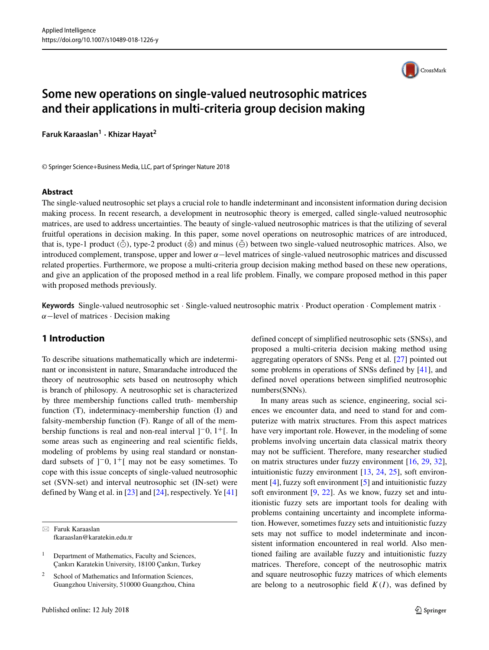

# **Some new operations on single-valued neutrosophic matrices and their applications in multi-criteria group decision making**

**Faruk Karaaslan<sup>1</sup> · Khizar Hayat<sup>2</sup>**

© Springer Science+Business Media, LLC, part of Springer Nature 2018

#### **Abstract**

The single-valued neutrosophic set plays a crucial role to handle indeterminant and inconsistent information during decision making process. In recent research, a development in neutrosophic theory is emerged, called single-valued neutrosophic matrices, are used to address uncertainties. The beauty of single-valued neutrosophic matrices is that the utilizing of several fruitful operations in decision making. In this paper, some novel operations on neutrosophic matrices of are introduced, that is, type-1 product *(⊙̃*), type-2 product *(⊗̃*) and minus *(⊖̃)* between two single-valued neutrosophic matrices. Also, we introduced complement, transpose, upper and lower *α*−level matrices of single-valued neutrosophic matrices and discussed related properties. Furthermore, we propose a multi-criteria group decision making method based on these new operations, and give an application of the proposed method in a real life problem. Finally, we compare proposed method in this paper with proposed methods previously.

**Keywords** Single-valued neutrosophic set · Single-valued neutrosophic matrix · Product operation · Complement matrix · *α*−level of matrices · Decision making

### **1 Introduction**

To describe situations mathematically which are indeterminant or inconsistent in nature, Smarandache introduced the theory of neutrosophic sets based on neutrosophy which is branch of philosopy. A neutrosophic set is characterized by three membership functions called truth- membership function (T), indeterminacy-membership function (I) and falsity-membership function (F). Range of all of the membership functions is real and non-real interval ] <sup>−</sup>0*,* 1+[. In some areas such as engineering and real scientific fields, modeling of problems by using real standard or nonstandard subsets of  $]$ <sup>-</sup>0,  $1$ <sup>+</sup>[ may not be easy sometimes. To cope with this issue concepts of single-valued neutrosophic set (SVN-set) and interval neutrosophic set (IN-set) were defined by Wang et al. in [\[23\]](#page-19-0) and [\[24\]](#page-19-1), respectively. Ye [\[41\]](#page-19-2)

- Faruk Karaaslan [fkaraaslan@karatekin.edu.tr](mailto: fkaraaslan@karatekin.edu.tr) defined concept of simplified neutrosophic sets (SNSs), and proposed a multi-criteria decision making method using aggregating operators of SNSs. Peng et al. [\[27\]](#page-19-3) pointed out some problems in operations of SNSs defined by [\[41\]](#page-19-2), and defined novel operations between simplified neutrosophic numbers(SNNs).

In many areas such as science, engineering, social sciences we encounter data, and need to stand for and computerize with matrix structures. From this aspect matrices have very important role. However, in the modeling of some problems involving uncertain data classical matrix theory may not be sufficient. Therefore, many researcher studied on matrix structures under fuzzy environment [\[16,](#page-19-4) [29,](#page-19-5) [32\]](#page-19-6), intuitionistic fuzzy environment [\[13,](#page-19-7) [24,](#page-19-1) [25\]](#page-19-8), soft environment [\[4\]](#page-18-0), fuzzy soft environment [\[5\]](#page-18-1) and intuitionistic fuzzy soft environment [\[9,](#page-18-2) [22\]](#page-19-9). As we know, fuzzy set and intuitionistic fuzzy sets are important tools for dealing with problems containing uncertainty and incomplete information. However, sometimes fuzzy sets and intuitionistic fuzzy sets may not suffice to model indeterminate and inconsistent information encountered in real world. Also mentioned failing are available fuzzy and intuitionistic fuzzy matrices. Therefore, concept of the neutrosophic matrix and square neutrosophic fuzzy matrices of which elements are belong to a neutrosophic field  $K(I)$ , was defined by

<sup>&</sup>lt;sup>1</sup> Department of Mathematics, Faculty and Sciences, Çankırı Karatekin University, 18100 Cankırı, Turkey

<sup>&</sup>lt;sup>2</sup> School of Mathematics and Information Sciences, Guangzhou University, 510000 Guangzhou, China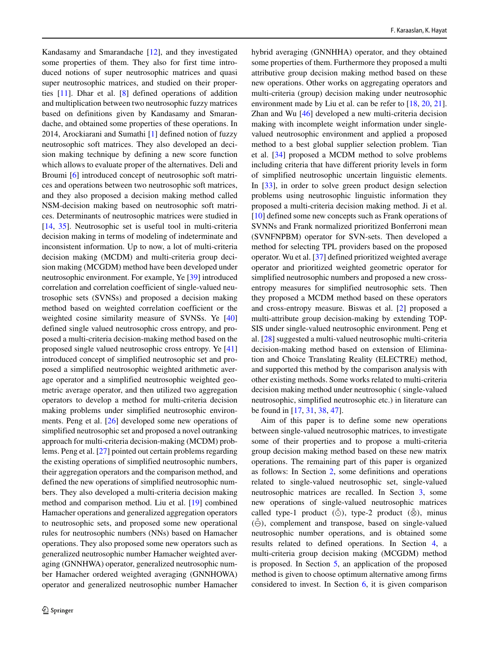Kandasamy and Smarandache [\[12\]](#page-19-10), and they investigated some properties of them. They also for first time introduced notions of super neutrosophic matrices and quasi super neutrosophic matrices, and studied on their properties [\[11\]](#page-19-11). Dhar et al. [\[8\]](#page-18-3) defined operations of addition and multiplication between two neutrosophic fuzzy matrices based on definitions given by Kandasamy and Smarandache, and obtained some properties of these operations. In 2014, Arockiarani and Sumathi [\[1\]](#page-18-4) defined notion of fuzzy neutrosophic soft matrices. They also developed an decision making technique by defining a new score function which allows to evaluate proper of the alternatives. Deli and Broumi [\[6\]](#page-18-5) introduced concept of neutrosophic soft matrices and operations between two neutrosophic soft matrices, and they also proposed a decision making method called NSM-decision making based on neutrosophic soft matrices. Determinants of neutrosophic matrices were studied in [\[14,](#page-19-12) [35\]](#page-19-13). Neutrosophic set is useful tool in multi-criteria decision making in terms of modeling of indeterminate and inconsistent information. Up to now, a lot of multi-criteria decision making (MCDM) and multi-criteria group decision making (MCGDM) method have been developed under neutrosophic environment. For example, Ye [\[39\]](#page-19-14) introduced correlation and correlation coefficient of single-valued neutrosophic sets (SVNSs) and proposed a decision making method based on weighted correlation coefficient or the weighted cosine similarity measure of SVNSs. Ye [\[40\]](#page-19-15) defined single valued neutrosophic cross entropy, and proposed a multi-criteria decision-making method based on the proposed single valued neutrosophic cross entropy. Ye [\[41\]](#page-19-2) introduced concept of simplified neutrosophic set and proposed a simplified neutrosophic weighted arithmetic average operator and a simplified neutrosophic weighted geometric average operator, and then utilized two aggregation operators to develop a method for multi-criteria decision making problems under simplified neutrosophic environments. Peng et al. [\[26\]](#page-19-16) developed some new operations of simplified neutrosophic set and proposed a novel outranking approach for multi-criteria decision-making (MCDM) problems. Peng et al. [\[27\]](#page-19-3) pointed out certain problems regarding the existing operations of simplified neutrosophic numbers, their aggregation operators and the comparison method, and defined the new operations of simplified neutrosophic numbers. They also developed a multi-criteria decision making method and comparison method. Liu et al. [\[19\]](#page-19-17) combined Hamacher operations and generalized aggregation operators to neutrosophic sets, and proposed some new operational rules for neutrosophic numbers (NNs) based on Hamacher operations. They also proposed some new operators such as generalized neutrosophic number Hamacher weighted averaging (GNNHWA) operator, generalized neutrosophic number Hamacher ordered weighted averaging (GNNHOWA) operator and generalized neutrosophic number Hamacher

hybrid averaging (GNNHHA) operator, and they obtained some properties of them. Furthermore they proposed a multi attributive group decision making method based on these new operations. Other works on aggregating operators and multi-criteria (group) decision making under neutrosophic environment made by Liu et al. can be refer to [\[18,](#page-19-18) [20,](#page-19-19) [21\]](#page-19-20). Zhan and Wu [\[46\]](#page-19-21) developed a new multi-criteria decision making with incomplete weight information under singlevalued neutrosophic environment and applied a proposed method to a best global supplier selection problem. Tian et al. [\[34\]](#page-19-22) proposed a MCDM method to solve problems including criteria that have different priority levels in form of simplified neutrosophic uncertain linguistic elements. In [\[33\]](#page-19-23), in order to solve green product design selection problems using neutrosophic linguistic information they proposed a multi-criteria decision making method. Ji et al. [\[10\]](#page-18-6) defined some new concepts such as Frank operations of SVNNs and Frank normalized prioritized Bonferroni mean (SVNFNPBM) operator for SVN-sets. Then developed a method for selecting TPL providers based on the proposed operator. Wu et al. [\[37\]](#page-19-24) defined prioritized weighted average operator and prioritized weighted geometric operator for simplified neutrosophic numbers and proposed a new crossentropy measures for simplified neutrosophic sets. Then they proposed a MCDM method based on these operators and cross-entropy measure. Biswas et al. [\[2\]](#page-18-7) proposed a multi-attribute group decision-making by extending TOP-SIS under single-valued neutrosophic environment. Peng et al. [\[28\]](#page-19-25) suggested a multi-valued neutrosophic multi-criteria decision-making method based on extension of Elimination and Choice Translating Reality (ELECTRE) method, and supported this method by the comparison analysis with other existing methods. Some works related to multi-criteria decision making method under neutrosophic ( single-valued neutrosophic, simplified neutrosophic etc.) in literature can be found in [\[17,](#page-19-26) [31,](#page-19-27) [38,](#page-19-28) [47\]](#page-19-29).

Aim of this paper is to define some new operations between single-valued neutrosophic matrices, to investigate some of their properties and to propose a multi-criteria group decision making method based on these new matrix operations. The remaining part of this paper is organized as follows: In Section [2,](#page-2-0) some definitions and operations related to single-valued neutrosophic set, single-valued neutrosophic matrices are recalled. In Section [3,](#page-3-0) some new operations of single-valued neutrosophic matrices called type-1 product *(*⊙̃), type-2 product *(*⊗̃), minus  $(\tilde{\ominus})$ , complement and transpose, based on single-valued neutrosophic number operations, and is obtained some results related to defined operations. In Section [4,](#page-7-0) a multi-criteria group decision making (MCGDM) method is proposed. In Section [5,](#page-8-0) an application of the proposed method is given to choose optimum alternative among firms considered to invest. In Section [6,](#page-9-0) it is given comparison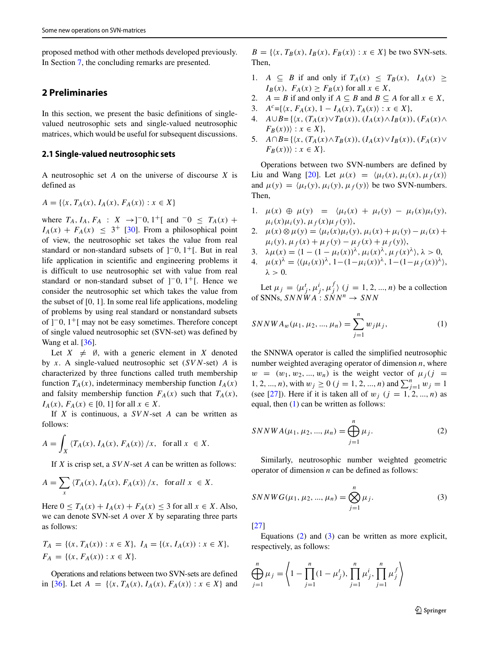proposed method with other methods developed previously. In Section [7,](#page-12-0) the concluding remarks are presented.

### <span id="page-2-0"></span>**2 Preliminaries**

In this section, we present the basic definitions of singlevalued neutrosophic sets and single-valued neutrosophic matrices, which would be useful for subsequent discussions.

#### **2.1 Single-valued neutrosophic sets**

A neutrosophic set *A* on the universe of discourse *X* is defined as

$$
A = \{ \langle x, T_A(x), I_A(x), F_A(x) \rangle : x \in X \}
$$

where  $T_A$ ,  $I_A$ ,  $F_A$  :  $X \rightarrow$  -1<sup>-</sup>[, and <sup>-0</sup> ≤  $T_A(x)$  +  $I_A(x) + F_A(x) \leq 3^+$  [\[30\]](#page-19-30). From a philosophical point of view, the neutrosophic set takes the value from real standard or non-standard subsets of ]<sup>−</sup>0, 1<sup>+</sup>[. But in real life application in scientific and engineering problems it is difficult to use neutrosophic set with value from real standard or non-standard subset of  $]$ <sup>-</sup>0,  $1$ <sup>+</sup>[. Hence we consider the neutrosophic set which takes the value from the subset of [0*,* 1]. In some real life applications, modeling of problems by using real standard or nonstandard subsets of ] <sup>−</sup>0*,* 1+[ may not be easy sometimes. Therefore concept of single valued neutrosophic set (SVN-set) was defined by Wang et al. [\[36\]](#page-19-31).

Let  $X \neq \emptyset$ , with a generic element in *X* denoted by *x*. A single-valued neutrosophic set (*SVN*-set) *A* is characterized by three functions called truth membership function  $T_A(x)$ , indeterminacy membership function  $I_A(x)$ and falsity membership function  $F_A(x)$  such that  $T_A(x)$ , *IA(x)*,  $F_A(x)$  ∈ [0, 1] for all  $x \in X$ .

If *X* is continuous, a *SVN*-set *A* can be written as follows:

$$
A = \int_X \left\langle T_A(x), I_A(x), F_A(x) \right\rangle / x, \text{ for all } x \in X.
$$

If *X* is crisp set, a *SVN*-set *A* can be written as follows:

$$
A = \sum_{x} \left\langle T_A(x), I_A(x), F_A(x) \right\rangle / x, \text{ for all } x \in X.
$$

Here  $0 \leq T_A(x) + I_A(x) + F_A(x) \leq 3$  for all  $x \in X$ . Also, we can denote SVN-set *A* over *X* by separating three parts as follows:

$$
T_A = \{(x, T_A(x)) : x \in X\}, I_A = \{(x, I_A(x)) : x \in X\},
$$
  

$$
F_A = \{(x, F_A(x)) : x \in X\}.
$$

Operations and relations between two SVN-sets are defined in [\[36\]](#page-19-31). Let  $A = \{(x, T_A(x), I_A(x), F_A(x)) : x \in X\}$  and

 $B = \{ \langle x, T_B(x), I_B(x), F_B(x) \rangle : x \in X \}$  be two SVN-sets. Then,

- 1. *A*  $\subseteq$  *B* if and only if  $T_A(x) \leq T_B(x)$ ,  $I_A(x) \geq$  $I_B(x)$ ,  $F_A(x) \geq F_B(x)$  for all  $x \in X$ ,
- 2. *A* = *B* if and only if  $A \subseteq B$  and  $B \subseteq A$  for all  $x \in X$ ,
- 3.  $A^{c} = \{ \langle x, F_A(x), 1 I_A(x), T_A(x) \rangle : x \in X \},\$
- 4. *A*∪*B*={ $\langle x, (T_A(x) \vee T_B(x)), (I_A(x) \wedge I_B(x)), (F_A(x) \wedge I_B(x)) \rangle$  $F_B(x)$ ) :  $x \in X$ ,
- 5. *A*∩*B*={ $\langle x, (T_A(x) \land T_B(x)), (I_A(x) \lor I_B(x)), (F_A(x) \lor$  $F_B(x)$ ) :  $x \in X$ .

Operations between two SVN-numbers are defined by Liu and Wang [\[20\]](#page-19-19). Let  $\mu(x) = \langle \mu_t(x), \mu_t(x), \mu_t(x) \rangle$ and  $\mu(y) = \langle \mu_t(y), \mu_t(y), \mu_f(y) \rangle$  be two SVN-numbers. Then,

- 1.  $\mu(x) \oplus \mu(y) = \langle \mu_t(x) + \mu_t(y) \mu_t(x) \mu_t(y) \rangle$  $\mu_i(x)\mu_i(y), \mu_f(x)\mu_f(y)$ ,
- 2.  $\mu(x) \otimes \mu(y) = \langle \mu_t(x) \mu_t(y), \mu_i(x) + \mu_i(y) \mu_i(x) + \mu_i(y) \rangle$  $\mu_i(y), \mu_f(x) + \mu_f(y) - \mu_f(x) + \mu_f(y)$ ,
- 3.  $\lambda \mu(x) = \langle 1 (1 \mu_t(x))^\lambda, \mu_t(x)^\lambda, \mu_f(x)^\lambda \rangle, \lambda > 0,$
- 4.  $\mu(x)^{\lambda} = \langle (\mu_t(x))^{\lambda}, 1 (1 \mu_i(x))^{\lambda}, 1 (1 \mu_f(x))^{\lambda} \rangle$ *λ >* 0.

Let  $\mu_j = \langle \mu_j^t, \mu_j^i, \mu_j^f \rangle$   $(j = 1, 2, ..., n)$  be a collection of SNNs,  $SNNWA : SNN^n \rightarrow SNN$ 

<span id="page-2-1"></span>
$$
SNNWA_w(\mu_1, \mu_2, ..., \mu_n) = \sum_{j=1}^n w_j \mu_j,
$$
 (1)

the SNNWA operator is called the simplified neutrosophic number weighted averaging operator of dimension *n*, where  $w = (w_1, w_2, ..., w_n)$  is the weight vector of  $\mu_i$  (j = 1*,* 2*,* ..., *n*), with  $w_j \ge 0$  ( $j = 1, 2, ..., n$ ) and  $\sum_{j=1}^{n} w_j = 1$ (see [\[27\]](#page-19-3)). Here if it is taken all of  $w_j$  ( $j = 1, 2, ..., n$ ) as equal, then [\(1\)](#page-2-1) can be written as follows:

<span id="page-2-2"></span>
$$
SNNWA(\mu_1, \mu_2, ..., \mu_n) = \bigoplus_{j=1}^{n} \mu_j.
$$
 (2)

Similarly, neutrosophic number weighted geometric operator of dimension *n* can be defined as follows:

<span id="page-2-3"></span>
$$
SNNWG(\mu_1, \mu_2, ..., \mu_n) = \bigotimes_{j=1}^n \mu_j.
$$
 (3)

[\[27\]](#page-19-3)

Equations  $(2)$  and  $(3)$  can be written as more explicit, respectively, as follows:

$$
\bigoplus_{j=1}^{n} \mu_{j} = \left\langle 1 - \prod_{j=1}^{n} (1 - \mu_{j}^{t}), \prod_{j=1}^{n} \mu_{j}^{t}, \prod_{j=1}^{n} \mu_{j}^{f} \right\rangle
$$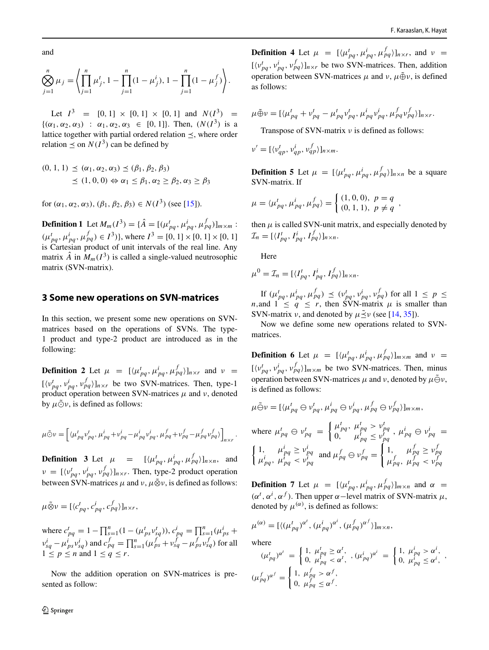and

$$
\bigotimes_{j=1}^{n} \mu_{j} = \left\langle \prod_{j=1}^{n} \mu_{j}^{t}, 1 - \prod_{j=1}^{n} (1 - \mu_{j}^{t}), 1 - \prod_{j=1}^{n} (1 - \mu_{j}^{f}) \right\rangle.
$$

Let  $I^3 = [0, 1] \times [0, 1] \times [0, 1]$  and  $N(I^3) =$  $\{(\alpha_1, \alpha_2, \alpha_3) : \alpha_1, \alpha_2, \alpha_3 \in [0, 1]\}.$  Then,  $(N(I^3))$  is a lattice together with partial ordered relation  $\prec$ , where order relation  $\leq$  on *N(I<sup>3</sup>)* can be defined by

$$
(0, 1, 1) \leq (\alpha_1, \alpha_2, \alpha_3) \leq (\beta_1, \beta_2, \beta_3)
$$
  
 
$$
\leq (1, 0, 0) \Leftrightarrow \alpha_1 \leq \beta_1, \alpha_2 \geq \beta_2, \alpha_3 \geq \beta_3
$$

for  $(\alpha_1, \alpha_2, \alpha_3)$ ,  $(\beta_1, \beta_2, \beta_3) \in N(I^3)$  (see [\[15\]](#page-19-32)).

**Definition 1** Let  $M_m(I^3) = {\hat{A}} = [(\mu_{pq}^t, \mu_{pq}^i, \mu_{pq}^f)]_{m \times m}$ :  $(\mu_{pq}^t, \mu_{pq}^i, \mu_{pq}^f) \in I^3$ )}, where  $I^3 = [0, 1] \times [0, 1] \times [0, 1]$ is Cartesian product of unit intervals of the real line. Any matrix  $\hat{A}$  in  $M_m(I^3)$  is called a single-valued neutrosophic matrix (SVN-matrix).

### <span id="page-3-0"></span>**3 Some new operations on SVN-matrices**

In this section, we present some new operations on SVNmatrices based on the operations of SVNs. The type-1 product and type-2 product are introduced as in the following:

**Definition 2** Let  $\mu = [\langle \mu_{pq}^t, \mu_{pq}^i, \mu_{pq}^f \rangle]_{n \times r}$  and  $\nu =$  $[(v_{pq}^t, v_{pq}^i, v_{pq}^f)]_{n \times r}$  be two SVN-matrices. Then, type-1 product operation between SVN-matrices *μ* and *ν*, denoted by  $\mu \tilde{\odot} \nu$ , is defined as follows:

$$
\mu \tilde{\odot} \nu = \left[ \langle \mu_{pq}^t v_{pq}^t, \mu_{pq}^i + v_{pq}^i - \mu_{pq}^i v_{pq}^i, \mu_{pq}^f + v_{pq}^f - \mu_{pq}^f v_{pq}^f \rangle \right]_{n \times r}.
$$

**Definition 3** Let  $\mu$  =  $[\langle \mu_{pq}^t, \mu_{pq}^i, \mu_{pq}^f \rangle]_{n \times n}$ , and  $\nu = [\langle v_{pq}^t, v_{pq}^i, v_{pq}^f \rangle]_{n \times r}$ . Then, type-2 product operation between SVN-matrices  $\mu$  and  $\nu$ ,  $\mu \tilde{\otimes} \nu$ , is defined as follows:

$$
\mu \tilde{\otimes} \nu = [\langle c_{pq}^t, c_{pq}^i, c_{pq}^f \rangle]_{n \times r},
$$

where  $c_{pq}^t = 1 - \prod_{s=1}^n (1 - (\mu_{ps}^t v_{sq}^t)), c_{pq}^t = \prod_{s=1}^n (\mu_{ps}^t +$  $v_{sg}^i - \mu_{ps}^i v_{sg}^i$  and  $c_{pq}^f = \prod_{s=1}^n (\mu_{ps}^f + v_{sg}^f - \mu_{ps}^f v_{sg}^f)$  for all  $1 \leq p \leq n$  and  $1 \leq q \leq r$ .

Now the addition operation on SVN-matrices is presented as follow:

**Definition 4** Let  $\mu = [\langle \mu_{pq}^t, \mu_{pq}^i, \mu_{pq}^f \rangle]_{n \times r}$ , and  $\nu =$  $[\langle v_{pq}^t, v_{pq}^i, v_{pq}^f \rangle]_{n \times r}$  be two SVN-matrices. Then, addition operation between SVN-matrices  $\mu$  and  $\nu$ ,  $\mu \oplus \nu$ , is defined as follows:

$$
\mu \tilde{\oplus} \nu = [\langle \mu_{pq}^t + v_{pq}^t - \mu_{pq}^t v_{pq}^t, \mu_{pq}^i v_{pq}^i, \mu_{pq}^f v_{pq}^f \rangle]_{n \times r}.
$$

Transpose of SVN-matrix *ν* is defined as follows:

$$
\nu' = [\langle v_{qp}^t, v_{qp}^i, v_{qp}^f \rangle]_{n \times m}.
$$

**Definition 5** Let  $\mu = [\langle \mu_{pq}^t, \mu_{pq}^i, \mu_{pq}^f \rangle]_{n \times n}$  be a square SVN-matrix. If

$$
\mu = \langle \mu_{pq}^t, \mu_{pq}^i, \mu_{pq}^f \rangle = \begin{cases} (1,0,0), & p = q \\ (0,1,1), & p \neq q \end{cases}
$$

then  $\mu$  is called SVN-unit matrix, and especially denoted by  $\mathcal{I}_n = [\langle I_{pq}^t, I_{pq}^i, I_{pq}^f \rangle]_{n \times n}.$ 

Here

$$
\mu^{0} = \mathcal{I}_{n} = [\langle I_{pq}^{t}, I_{pq}^{i}, I_{pq}^{f} \rangle]_{n \times n}.
$$

If  $(\mu_{pq}^t, \mu_{pq}^i, \mu_{pq}^f) \preceq (\nu_{pq}^t, \nu_{pq}^i, \nu_{pq}^f)$  for all  $1 \leq p \leq$ *n*, and  $1 \leq q \leq r$ , then SVN-matrix  $\mu$  is smaller than SVN-matrix *ν*, and denoted by  $\mu \leq \nu$  (see [\[14,](#page-19-12) [35\]](#page-19-13)).

Now we define some new operations related to SVNmatrices.

**Definition 6** Let  $\mu = [\langle \mu_{pq}^t, \mu_{pq}^i, \mu_{pq}^f \rangle]_{m \times m}$  and  $\nu =$  $[\langle v_{pq}^t, v_{pq}^i, v_{pq}^f \rangle]_{m \times m}$  be two SVN-matrices. Then, minus operation between SVN-matrices  $\mu$  and  $\nu$ , denoted by  $\mu \tilde{\ominus} \nu$ , is defined as follows:

$$
\mu \tilde{\ominus} \nu = [\langle \mu_{pq}^t \ominus \nu_{pq}^t, \mu_{pq}^i \ominus \nu_{pq}^i, \mu_{pq}^f \ominus \nu_{pq}^f \rangle]_{m \times m},
$$
  
where  $\mu_{pq}^t \ominus \nu_{pq}^t = \begin{cases} \mu_{pq}^t, & \mu_{pq}^t > \nu_{pq}^t \\ 0, & \mu_{pq}^t \le \nu_{pq}^t \end{cases}, \mu_{pq}^i \ominus \nu_{pq}^i = \begin{cases} 1, & \mu_{pq}^f \ge \nu_{pq}^f \\ \mu_{pq}^t, & \mu_{pq}^t < \nu_{pq}^t \end{cases}$  and  $\mu_{pq}^f \ominus \nu_{pq}^f = \begin{cases} 1, & \mu_{pq}^f \ge \nu_{pq}^f \\ \mu_{pq}^f, & \mu_{pq}^f < \nu_{pq}^f \end{cases}$ 

**Definition 7** Let  $\mu = [\langle \mu_{pq}^t, \mu_{pq}^i, \mu_{pq}^f \rangle]_{m \times n}$  and  $\alpha =$ *(α<sup>t</sup>*, *α<sup><i>i*</sup></sup>, *α<sup>f</sup>*). Then upper *α*−level matrix of SVN-matrix *μ*, denoted by  $\mu^{(\alpha)}$ , is defined as follows:

$$
\mu^{(\alpha)} = [\langle (\mu_{pq}^t)^{\alpha^t}, (\mu_{pq}^i)^{\alpha^t}, (\mu_{pq}^f)^{\alpha^f} \rangle]_{m \times n},
$$

where

$$
(\mu_{pq}^t)^{\alpha'} = \begin{cases} 1, & \mu_{pq}^t \ge \alpha^t, \\ 0, & \mu_{pq}^t < \alpha^t, \end{cases}, (\mu_{pq}^i)^{\alpha'} = \begin{cases} 1, & \mu_{pq}^i > \alpha^i, \\ 0, & \mu_{pq}^i \le \alpha^i, \end{cases},
$$
  

$$
(\mu_{pq}^f)^{\alpha^f} = \begin{cases} 1, & \mu_{pq}^f > \alpha^f, \\ 0, & \mu_{pq}^f \le \alpha^f. \end{cases}
$$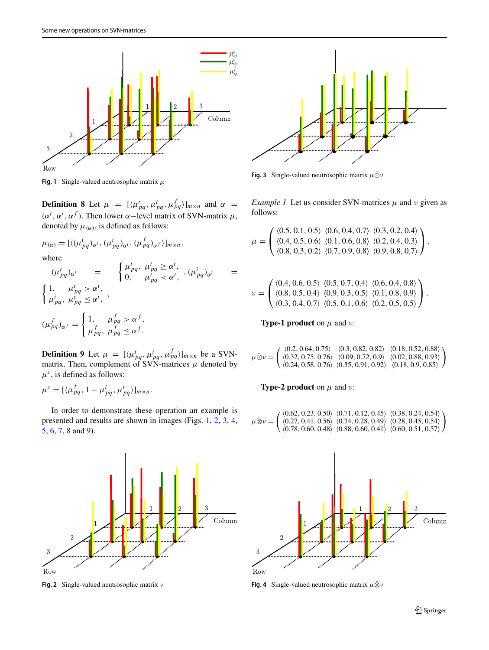<span id="page-4-0"></span>

**Fig. 1** Single-valued neutrosophic matrix *μ*

**Definition 8** Let  $\mu = [\langle \mu_{pq}^t, \mu_{pq}^i, \mu_{pq}^f \rangle]_{m \times n}$  and  $\alpha =$ *(α<sup>t</sup>*, *α<sup><i>i*</sup></sup>, *α<sup>f</sup>*). Then lower *α*−level matrix of SVN-matrix *μ*, denoted by  $\mu_{(\alpha)}$ , is defined as follows:

$$
\mu_{(\alpha)} = [\langle (\mu_{pq}^t)_{\alpha^t}, (\mu_{pq}^i)_{\alpha^i}, (\mu_{pq}^f)_{\alpha^f} \rangle]_{m \times n},
$$
  
where  

$$
(\mu_{pq}^t)_{\alpha^t} = \begin{cases} \mu_{pq}^t, & \mu_{pq}^t \geq \alpha^t, \\ 0, & \mu_{pq}^t < \alpha^t, \end{cases}, (\mu_{pq}^i)_{\alpha^i} =
$$
  

$$
\begin{cases} 1, & \mu_{pq}^i > \alpha^i, \\ \mu_{pq}^i, & \mu_{pq}^i \leq \alpha^i, \end{cases}
$$
  

$$
(\mu_{pq}^f)_{\alpha^f} = \begin{cases} 1, & \mu_{pq}^f > \alpha^f, \\ \mu_{pq}^f, & \mu_{pq}^f \leq \alpha^f. \end{cases}
$$

**Definition 9** Let  $\mu = [\langle \mu_{pq}^t, \mu_{pq}^i, \mu_{pq}^f \rangle]_{m \times n}$  be a SVNmatrix. Then, complement of SVN-matrices  $\mu$  denoted by  $\mu^c$ , is defined as follows:

$$
\mu^{c} = [\langle \mu_{pq}^{f}, 1 - \mu_{pq}^{i}, \mu_{pq}^{t} \rangle]_{m \times n}.
$$

In order to demonstrate these operation an example is presented and results are shown in images (Figs. [1,](#page-4-0) [2,](#page-4-1) [3,](#page-4-2) [4,](#page-4-3) [5,](#page-5-0) [6,](#page-5-1) [7,](#page-5-2) [8](#page-5-3) and [9\)](#page-6-0).

<span id="page-4-1"></span>

**Fig. 2** Single-valued neutrosophic matrix *ν*

<span id="page-4-2"></span>

**Fig. 3** Single-valued neutrosophic matrix  $\mu \tilde{\odot} \nu$ 

*Example 1* Let us consider SVN-matrices  $\mu$  and  $\nu$  given as follows:

$$
\mu = \begin{pmatrix} \langle 0.5, 0.1, 0.5 \rangle & \langle 0.6, 0.4, 0.7 \rangle & \langle 0.3, 0.2, 0.4 \rangle \\ \langle 0.4, 0.5, 0.6 \rangle & \langle 0.1, 0.6, 0.8 \rangle & \langle 0.2, 0.4, 0.3 \rangle \\ \langle 0.8, 0.3, 0.2 \rangle & \langle 0.7, 0.9, 0.8 \rangle & \langle 0.9, 0.8, 0.7 \rangle \end{pmatrix},
$$

$$
\nu = \begin{pmatrix} \langle 0.4, 0.6, 0.5 \rangle & \langle 0.5, 0.7, 0.4 \rangle & \langle 0.6, 0.4, 0.8 \rangle \\ \langle 0.8, 0.5, 0.4 \rangle & \langle 0.9, 0.3, 0.5 \rangle & \langle 0.1, 0.8, 0.9 \rangle \\ \langle 0.3, 0.4, 0.7 \rangle & \langle 0.5, 0.1, 0.6 \rangle & \langle 0.2, 0.5, 0.5 \rangle \end{pmatrix}.
$$

**Type-1 product** on  $\mu$  and  $\nu$ :

$$
\mu \tilde{\odot} \nu = \left( \begin{array}{ccc} \langle 0.2, 0.64, 0.75 \rangle & \langle 0.3, 0.82, 0.82 \rangle & \langle 0.18, 0.52, 0.88 \rangle \\ \langle 0.32, 0.75, 0.76 \rangle & \langle 0.09, 0.72, 0.9 \rangle & \langle 0.02, 0.88, 0.93 \rangle \\ \langle 0.24, 0.58, 0.76 \rangle & \langle 0.35, 0.91, 0.92 \rangle & \langle 0.18, 0.9, 0.85 \rangle \end{array} \right)
$$

**Type-2 product** on  $\mu$  and  $\nu$ :

$$
\mu \tilde{\otimes} \nu = \begin{pmatrix} \langle 0.62, 0.23, 0.50 \rangle & \langle 0.71, 0.12, 0.45 \rangle & \langle 0.38, 0.24, 0.54 \rangle \\ \langle 0.27, 0.41, 0.56 \rangle & \langle 0.34, 0.28, 0.49 \rangle & \langle 0.28, 0.45, 0.54 \rangle \\ \langle 0.78, 0.60, 0.48 \rangle & \langle 0.88, 0.60, 0.41 \rangle & \langle 0.60, 0.51, 0.57 \rangle \end{pmatrix}
$$

<span id="page-4-3"></span>

**Fig. 4** Single-valued neutrosophic matrix  $μ\&ν$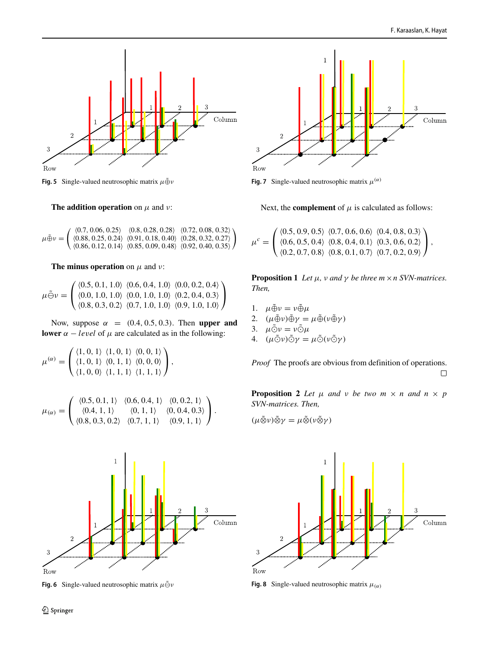<span id="page-5-0"></span>

**Fig. 5** Single-valued neutrosophic matrix  $μ\tilde{Φ}ν$ 

**The addition operation** on *μ* and *ν*:

 $\mu \tilde{\oplus} \nu =$  0.7*,* 0.06*,* 0.25 0.8*,* 0.28*,* 0.28 0.72*,* 0.08*,* 0.32 0.88*,* 0.25*,* 0.24 0.91*,* 0.18*,* 0.40 0.28*,* 0.32*,* 0.27 0.86*,* 0.12*,* 0.14 0.85*,* 0.09*,* 0.48 0.92*,* 0.40*,* 0.35  $\setminus$ 

**The minus operation** on  $\mu$  and  $\nu$ :

$$
\mu \tilde{\ominus} \nu = \begin{pmatrix} \langle 0.5, 0.1, 1.0 \rangle & \langle 0.6, 0.4, 1.0 \rangle & \langle 0.0, 0.2, 0.4 \rangle \\ \langle 0.0, 1.0, 1.0 \rangle & \langle 0.0, 1.0, 1.0 \rangle & \langle 0.2, 0.4, 0.3 \rangle \\ \langle 0.8, 0.3, 0.2 \rangle & \langle 0.7, 1.0, 1.0 \rangle & \langle 0.9, 1.0, 1.0 \rangle \end{pmatrix}
$$

Now, suppose *α* = *(*0.4*,* 0.5*,* 0.3*)*. Then **upper and lower**  $\alpha$  − *level* of  $\mu$  are calculated as in the following:

$$
\mu^{(\alpha)} = \begin{pmatrix} \langle 1, 0, 1 \rangle & \langle 1, 0, 1 \rangle & \langle 0, 0, 1 \rangle \\ \langle 1, 0, 1 \rangle & \langle 0, 1, 1 \rangle & \langle 0, 0, 0 \rangle \\ \langle 1, 0, 0 \rangle & \langle 1, 1, 1 \rangle & \langle 1, 1, 1 \rangle \end{pmatrix},
$$

$$
\mu_{(\alpha)} = \begin{pmatrix} \langle 0.5, 0.1, 1 \rangle & \langle 0.6, 0.4, 1 \rangle & \langle 0, 0.2, 1 \rangle \\ \langle 0.4, 1, 1 \rangle & \langle 0, 1, 1 \rangle & \langle 0, 0.4, 0.3 \rangle \\ \langle 0.8, 0.3, 0.2 \rangle & \langle 0.7, 1, 1 \rangle & \langle 0.9, 1, 1 \rangle \end{pmatrix}.
$$

<span id="page-5-1"></span>

**Fig. 6** Single-valued neutrosophic matrix  $\mu \tilde{\Theta} \nu$ 

<span id="page-5-2"></span>

**Fig. 7** Single-valued neutrosophic matrix  $\mu^{(\alpha)}$ 

Next, the **complement** of  $\mu$  is calculated as follows:

$$
\mu^{c} = \begin{pmatrix} \langle 0.5, 0.9, 0.5 \rangle & \langle 0.7, 0.6, 0.6 \rangle & \langle 0.4, 0.8, 0.3 \rangle \\ \langle 0.6, 0.5, 0.4 \rangle & \langle 0.8, 0.4, 0.1 \rangle & \langle 0.3, 0.6, 0.2 \rangle \\ \langle 0.2, 0.7, 0.8 \rangle & \langle 0.8, 0.1, 0.7 \rangle & \langle 0.7, 0.2, 0.9 \rangle \end{pmatrix},
$$

**Proposition 1** *Let*  $\mu$ *, v and*  $\gamma$  *be three*  $m \times n$  *SVN-matrices. Then,*

- 1.  $\mu \tilde{\oplus} \nu = \nu \tilde{\oplus} \mu$
- 2.  $(\mu \tilde{\oplus} \nu) \tilde{\oplus} \gamma = \mu \tilde{\oplus} (\nu \tilde{\oplus} \gamma)$
- 3.  $\mu \tilde{\odot} \nu = \nu \tilde{\odot} \mu$
- 4.  $(\mu \odot \nu) \odot \gamma = \mu \odot (\nu \odot \gamma)$

*Proof* The proofs are obvious from definition of operations.  $\Box$ 

**Proposition 2** *Let*  $\mu$  *and*  $\nu$  *be two*  $m \times n$  *and*  $n \times p$ *SVN-matrices. Then,*

$$
(\mu \tilde{\otimes} \nu) \tilde{\otimes} \gamma = \mu \tilde{\otimes} (\nu \tilde{\otimes} \gamma)
$$

<span id="page-5-3"></span>

**Fig. 8** Single-valued neutrosophic matrix  $\mu_{\alpha}$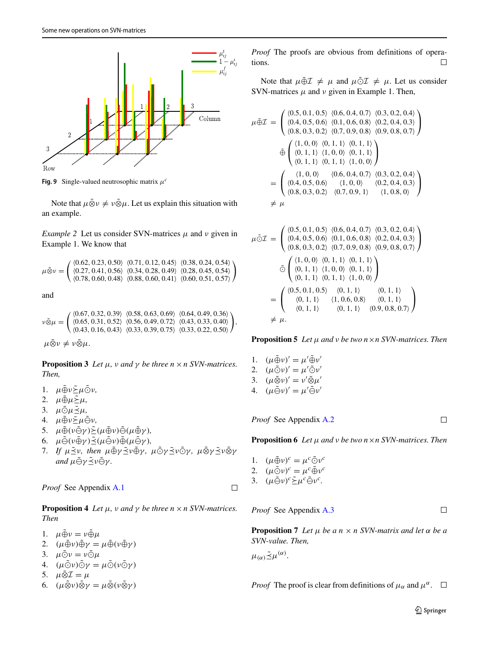<span id="page-6-0"></span>

**Fig. 9** Single-valued neutrosophic matrix *μc*

Note that  $\mu \tilde{\otimes} \nu \neq \nu \tilde{\otimes} \mu$ . Let us explain this situation with an example.

*Example 2* Let us consider SVN-matrices  $\mu$  and  $\nu$  given in Example 1. We know that

$$
\mu \tilde{\otimes} \nu = \begin{pmatrix} \langle 0.62, 0.23, 0.50 \rangle & \langle 0.71, 0.12, 0.45 \rangle & \langle 0.38, 0.24, 0.54 \rangle \\ \langle 0.27, 0.41, 0.56 \rangle & \langle 0.34, 0.28, 0.49 \rangle & \langle 0.28, 0.45, 0.54 \rangle \\ \langle 0.78, 0.60, 0.48 \rangle & \langle 0.88, 0.60, 0.41 \rangle & \langle 0.60, 0.51, 0.57 \rangle \end{pmatrix}
$$

and

$$
\nu \tilde{\otimes} \mu = \begin{pmatrix} \langle 0.67, 0.32, 0.39 \rangle & \langle 0.58, 0.63, 0.69 \rangle & \langle 0.64, 0.49, 0.36 \rangle \\ \langle 0.65, 0.31, 0.52 \rangle & \langle 0.56, 0.49, 0.72 \rangle & \langle 0.43, 0.33, 0.40 \rangle \\ \langle 0.43, 0.16, 0.43 \rangle & \langle 0.33, 0.39, 0.75 \rangle & \langle 0.33, 0.22, 0.50 \rangle \end{pmatrix},
$$

*μ*⊗ν ≠ ν⊗μ.

**Proposition 3** *Let*  $\mu$ *, v and*  $\gamma$  *be three*  $n \times n$  *SVN-matrices. Then,*

- 1.  $\mu \tilde{\oplus} \nu \tilde{\geq} \mu \tilde{\odot} \nu$ ,
- 2.  $\mu \tilde{\oplus} \mu \tilde{\geq} \mu$ ,
- 3. *μ*⊙μ<sup>2</sup>μ,
- 4. *μ*⊕˜ *ν*˜ *μ*˜ *ν,*
- 5.  $\mu \tilde{\oplus} (\nu \tilde{\ominus} \gamma) \tilde{\geq} (\mu \tilde{\oplus} \nu) \tilde{\ominus} (\mu \tilde{\oplus} \gamma)$ ,
- 6.  $\mu \tilde{\Theta}(\nu \tilde{\oplus} \gamma) \tilde{\Xi}(\mu \tilde{\Theta} \nu) \tilde{\Theta}(\mu \tilde{\Theta} \gamma)$ ,
- *7. If μ* $\tilde{\leq}$ ν, then μ⊕γ $\tilde{\leq}$ ν⊕γ, μ⊙γ $\tilde{\leq}$ ν⊙γ, μ⊗γ $\tilde{\leq}$ ν⊗γ  $\alpha$ *and*  $\mu \tilde{\ominus} \gamma \tilde{\preceq} \nu \tilde{\ominus} \gamma$ .

*Proof* See Appendix A.1

**Proposition 4** *Let*  $\mu$ *, v and*  $\gamma$  *be three*  $n \times n$  *SVN-matrices. Then*

- 1.  $\mu \tilde{\oplus} \nu = \nu \tilde{\oplus} \mu$
- 2.  $(\mu \tilde{\oplus} \nu) \tilde{\oplus} \gamma = \mu \tilde{\oplus} (\nu \tilde{\oplus} \gamma)$
- 3.  $\mu \tilde{\odot} \nu = \nu \tilde{\odot} \mu$
- 4.  $(\mu \tilde{\odot} \nu) \tilde{\odot} \gamma = \mu \tilde{\odot} (\nu \tilde{\odot} \gamma)$
- 5.  $\mu \tilde{\otimes} \mathcal{I} = \mu$ <br>6.  $(\mu \tilde{\otimes} \nu) \tilde{\otimes} \nu$
- $(\mu \tilde{\otimes} \nu) \tilde{\otimes} \gamma = \mu \tilde{\otimes} (\nu \tilde{\otimes} \gamma)$

*Proof* The proofs are obvious from definitions of operations.  $\Box$ 

Note that  $\mu \tilde{\oplus} \mathcal{I} \neq \mu$  and  $\mu \tilde{\odot} \mathcal{I} \neq \mu$ . Let us consider SVN-matrices  $\mu$  and  $\nu$  given in Example 1. Then,

$$
\mu \tilde{\oplus} \mathcal{I} = \begin{pmatrix}\n\langle 0.5, 0.1, 0.5 \rangle & \langle 0.6, 0.4, 0.7 \rangle & \langle 0.3, 0.2, 0.4 \rangle \\
\langle 0.4, 0.5, 0.6 \rangle & \langle 0.1, 0.6, 0.8 \rangle & \langle 0.2, 0.4, 0.3 \rangle \\
\langle 0.8, 0.3, 0.2 \rangle & \langle 0.7, 0.9, 0.8 \rangle & \langle 0.9, 0.8, 0.7 \rangle\n\end{pmatrix}
$$
\n
$$
\tilde{\oplus} \begin{pmatrix}\n\langle 1, 0, 0 \rangle & \langle 0, 1, 1 \rangle & \langle 0, 1, 1 \rangle \\
\langle 0, 1, 1 \rangle & \langle 1, 0, 0 \rangle & \langle 0, 1, 1 \rangle \\
\langle 0, 1, 1 \rangle & \langle 1, 0, 0 \rangle & \langle 0.5, 0.4, 0.7 \rangle \\
\langle 0.4, 0.5, 0.6 \rangle & \langle 1, 0, 0 \rangle & \langle 0.2, 0.4, 0.3 \rangle \\
\langle 0.8, 0.3, 0.2 \rangle & \langle 0.7, 0.9, 1 \rangle & \langle 1, 0.8, 0 \rangle\n\end{pmatrix}
$$
\n
$$
\neq \mu
$$

$$
\mu \tilde{\bigcirc} \mathcal{I} = \begin{pmatrix}\n\langle 0.5, 0.1, 0.5 \rangle & \langle 0.6, 0.4, 0.7 \rangle & \langle 0.3, 0.2, 0.4 \rangle \\
\langle 0.4, 0.5, 0.6 \rangle & \langle 0.1, 0.6, 0.8 \rangle & \langle 0.2, 0.4, 0.3 \rangle \\
\langle 0.8, 0.3, 0.2 \rangle & \langle 0.7, 0.9, 0.8 \rangle & \langle 0.9, 0.8, 0.7 \rangle\n\end{pmatrix}
$$
\n
$$
\tilde{\bigcirc} \begin{pmatrix}\n\langle 1, 0, 0 \rangle & \langle 0, 1, 1 \rangle & \langle 0, 1, 1 \rangle \\
\langle 0, 1, 1 \rangle & \langle 1, 0, 0 \rangle & \langle 0, 1, 1 \rangle \\
\langle 0, 1, 1 \rangle & \langle 0, 1, 1 \rangle & \langle 1, 0, 0 \rangle\n\end{pmatrix}
$$
\n
$$
= \begin{pmatrix}\n\langle 0.5, 0.1, 0.5 \rangle & \langle 0, 1, 1 \rangle & \langle 0, 1, 1 \rangle \\
\langle 0, 1, 1 \rangle & \langle 1, 0.6, 0.8 \rangle & \langle 0, 1, 1 \rangle \\
\langle 0, 1, 1 \rangle & \langle 0, 1, 1 \rangle & \langle 0.9, 0.8, 0.7 \rangle\n\end{pmatrix}
$$
\n
$$
\neq \mu.
$$

**Proposition 5** *Let μ and ν be two n*×*n SVN-matrices. Then*

1.  $(\mu \tilde{\oplus} \nu)' = \mu' \tilde{\oplus} \nu'$ 2.  $(\mu \tilde{\odot} \nu)' = \mu' \tilde{\odot} \nu'$ 3.  $(\mu \tilde{\otimes} \nu)' = \nu' \tilde{\otimes} \mu'$ 4.  $(\mu \tilde{\ominus} \nu)' = \mu' \tilde{\ominus} \nu'$ 

*Proof* See Appendix [A.2](#page-14-0)

 $\Box$ 

**Proposition 6** *Let μ and ν be two n*×*n SVN-matrices. Then*

- 1.  $(\mu \tilde{\oplus} \nu)^c = \mu^c \tilde{\odot} \nu^c$
- 2.  $(\mu \tilde{\odot} \nu)^c = \mu^c \tilde{\oplus} \nu^c$ 3.  $(\mu \tilde{\ominus} \nu)^c \tilde{\geq} \mu^c \tilde{\ominus} \nu^c$ .
- 

*Proof* See Appendix [A.3](#page-14-1)

 $\Box$ 

**Proposition 7** *Let*  $\mu$  *be a*  $n \times n$  *SVN-matrix and let*  $\alpha$  *be a SVN-value. Then,*

 $\mu_{(\alpha)} \tilde{\preceq} \mu^{(\alpha)}$ .

 $\Box$ 

*Proof* The proof is clear from definitions of  $\mu_{\alpha}$  and  $\mu^{\alpha}$ .  $\Box$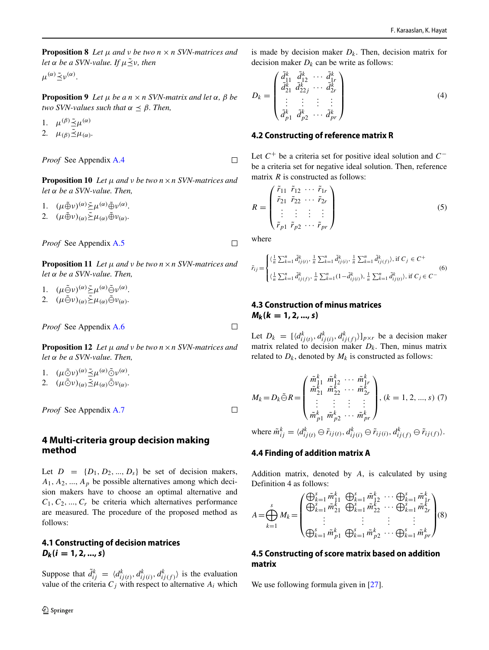**Proposition 8** *Let*  $\mu$  *and*  $\nu$  *be two*  $n \times n$  *SVN-matrices and let*  $\alpha$  *be*  $\alpha$  *SVN-value. If*  $\mu \leq \nu$ *, then* 

 $\mu^{(\alpha)} \tilde{\prec} \nu^{(\alpha)}$ .

**Proposition 9** *Let*  $\mu$  *be a*  $n \times n$  *SVN-matrix and let*  $\alpha$ *,*  $\beta$  *be two SVN-values such that*  $\alpha \leq \beta$ *. Then,* 

1.  $\mu^{(\beta)} \tilde{\preceq} \mu^{(\alpha)}$ 2.  $\mu_{(\beta)} \tilde{\preceq} \mu_{(\alpha)}$ .

*Proof* See Appendix [A.4](#page-15-0)

**Proposition 10** *Let μ and ν be two n*×*n SVN-matrices and let α be a SVN-value. Then,*

1.  $(\mu \tilde{\oplus} \nu)^{(\alpha)} \tilde{\succ} \mu^{(\alpha)} \tilde{\oplus} \nu^{(\alpha)}$ .

2.  $(\mu \tilde{\oplus} \nu)_{(\alpha)} \tilde{\geq} \mu_{(\alpha)} \tilde{\oplus} \nu_{(\alpha)}$ *.* 

*Proof* See Appendix [A.5](#page-15-1)

**Proposition 11** *Let*  $\mu$  *and*  $\nu$  *be two*  $n \times n$  *SVN-matrices and let α be a SVN-value. Then,*

1.  $(\mu \tilde{\ominus} \nu)^{(\alpha)} \tilde{\succ} \mu^{(\alpha)} \tilde{\ominus} \nu^{(\alpha)}$ .

2.  $(\mu \tilde{\ominus} \nu)_{(\alpha)} \tilde{\geq} \mu_{(\alpha)} \tilde{\ominus} \nu_{(\alpha)}$ .

*Proof* See Appendix [A.6](#page-16-0)

**Proposition 12** *Let μ and ν be two n*×*n SVN-matrices and let α be a SVN-value. Then,*

- 1.  $(\mu \tilde{\odot} \nu)^{(\alpha)} \tilde{\preceq} \mu^{(\alpha)} \tilde{\odot} \nu^{(\alpha)}$ .
- 2.  $(\mu \tilde{\odot} \nu)_{(\alpha)} \tilde{\preceq} \mu_{(\alpha)} \tilde{\odot} \nu_{(\alpha)}$ *.*

*Proof* See Appendix [A.7](#page-18-8)

### <span id="page-7-0"></span>**4 Multi-criteria group decision making method**

Let  $D = \{D_1, D_2, ..., D_s\}$  be set of decision makers,  $A_1, A_2, \ldots, A_p$  be possible alternatives among which decision makers have to choose an optimal alternative and  $C_1, C_2, ..., C_r$  be criteria which alternatives performance are measured. The procedure of the proposed method as follows:

# **4.1 Constructing of decision matrices**  $D_k$   $(i = 1, 2, ..., s)$

Suppose that  $\tilde{d}_{ij}^k = \langle d_{ij(t)}^k, d_{ij(i)}^k, d_{ij(f)}^k \rangle$  is the evaluation value of the criteria  $C_j$  with respect to alternative  $A_i$  which is made by decision maker  $D_k$ . Then, decision matrix for decision maker  $D_k$  can be write as follows:

$$
D_k = \begin{pmatrix} \tilde{d}_1^k & \tilde{d}_2^k & \cdots & \tilde{d}_r^k \\ \tilde{d}_{21}^k & \tilde{d}_{22j}^k & \cdots & \tilde{d}_{2r}^k \\ \vdots & \vdots & \vdots & \vdots \\ \tilde{d}_{p1}^k & \tilde{d}_{p2}^k & \cdots & \tilde{d}_{pr}^k \end{pmatrix}
$$
(4)

### **4.2 Constructing of reference matrix R**

Let *C*+ be a criteria set for positive ideal solution and *C*− be a criteria set for negative ideal solution. Then, reference matrix *R* is constructed as follows:

$$
R = \begin{pmatrix} \tilde{r}_{11} & \tilde{r}_{12} & \cdots & \tilde{r}_{1r} \\ \tilde{r}_{21} & \tilde{r}_{22} & \cdots & \tilde{r}_{2r} \\ \vdots & \vdots & \vdots & \vdots \\ \tilde{r}_{p1} & \tilde{r}_{p2} & \cdots & \tilde{r}_{pr} \end{pmatrix}
$$
(5)

where

 $\Box$ 

 $\Box$ 

 $\Box$ 

 $\Box$ 

<span id="page-7-1"></span>
$$
\tilde{r}_{ij} = \begin{cases}\n\langle \frac{1}{n} \sum_{k=1}^{n} \tilde{d}_{ij(t)}^k, \frac{1}{n} \sum_{k=1}^{n} \tilde{d}_{ij(t)}^k, \frac{1}{n} \sum_{k=1}^{n} \tilde{d}_{ij(f)}^k \rangle, \text{if } C_j \in C^+ \\
\langle \frac{1}{n} \sum_{k=1}^{n} \tilde{d}_{ij(f)}^k, \frac{1}{n} \sum_{k=1}^{n} (1 - \tilde{d}_{ij(i)}^k), \frac{1}{n} \sum_{k=1}^{n} \tilde{d}_{ij(t)}^k \rangle, \text{if } C_j \in C^- \n\end{cases} \tag{6}
$$

# **4.3 Construction of minus matrices**  $M_k(k = 1, 2, ..., s)$

Let  $D_k = \left[ \langle d_{ij(t)}^k, d_{ij(i)}^k, d_{ij(f)}^k \rangle \right]_{p \times r}$  be a decision maker matrix related to decision maker  $D_k$ . Then, minus matrix related to  $D_k$ , denoted by  $M_k$  is constructed as follows:

<span id="page-7-2"></span>
$$
M_{k} = D_{k} \tilde{\ominus} R = \begin{pmatrix} \tilde{m}_{11}^{k} & \tilde{m}_{12}^{k} & \cdots & \tilde{m}_{1r}^{k} \\ \tilde{m}_{21}^{k} & \tilde{m}_{22}^{k} & \cdots & \tilde{m}_{2r}^{k} \\ \vdots & \vdots & \vdots & \vdots \\ \tilde{m}_{p1}^{k} & \tilde{m}_{p2}^{k} & \cdots & \tilde{m}_{pr}^{k} \end{pmatrix}, (k = 1, 2, ..., s) (7)
$$

where  $\tilde{m}_{ij}^k = \langle d_{ij(t)}^k \ominus \tilde{r}_{ij(t)}, d_{ij(t)}^k \ominus \tilde{r}_{ij(t)}, d_{ij(t)}^k \ominus \tilde{r}_{ij(t)} \rangle$ .

### **4.4 Finding of addition matrix A**

Addition matrix, denoted by *A*, is calculated by using Definition 4 as follows:

<span id="page-7-3"></span>
$$
A = \bigoplus_{k=1}^{s} M_k = \begin{pmatrix} \bigoplus_{k=1}^{s} \tilde{m}_{11}^k & \bigoplus_{k=1}^{s} \tilde{m}_{12}^k & \cdots & \bigoplus_{k=1}^{s} \tilde{m}_{1r}^k \\ \bigoplus_{k=1}^{s} \tilde{m}_{21}^k & \bigoplus_{k=1}^{s} \tilde{m}_{22}^k & \cdots & \bigoplus_{k=1}^{s} \tilde{m}_{2r}^k \\ \vdots & \vdots & \vdots & \vdots \\ \bigoplus_{k=1}^{s} \tilde{m}_{p1}^k & \bigoplus_{k=1}^{s} \tilde{m}_{p2}^k & \cdots & \bigoplus_{k=1}^{s} \tilde{m}_{pr}^k \end{pmatrix} (8)
$$

### **4.5 Constructing of score matrix based on addition matrix**

We use following formula given in [\[27\]](#page-19-3).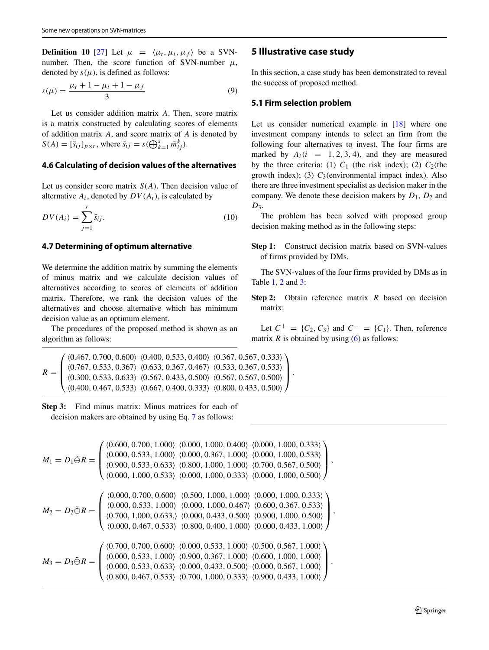**Definition 10** [\[27\]](#page-19-3) Let  $\mu = \langle \mu_t, \mu_i, \mu_f \rangle$  be a SVNnumber. Then, the score function of SVN-number  $\mu$ , denoted by  $s(\mu)$ , is defined as follows:

<span id="page-8-1"></span>
$$
s(\mu) = \frac{\mu_t + 1 - \mu_i + 1 - \mu_f}{3} \tag{9}
$$

Let us consider addition matrix *A*. Then, score matrix is a matrix constructed by calculating scores of elements of addition matrix *A*, and score matrix of *A* is denoted by  $S(A) = [\tilde{s}_{ij}]_{p \times r}$ , where  $\tilde{s}_{ij} = s(\bigoplus_{k=1}^{s} \tilde{m}_{ij}^{k})$ .

### **4.6 Calculating of decision values of the alternatives**

Let us consider score matrix *S(A)*. Then decision value of alternative  $A_i$ , denoted by  $DV(A_i)$ , is calculated by

<span id="page-8-2"></span>
$$
DV(A_i) = \sum_{j=1}^{r} \tilde{s}_{ij}.
$$
\n(10)

#### **4.7 Determining of optimum alternative**

We determine the addition matrix by summing the elements of minus matrix and we calculate decision values of alternatives according to scores of elements of addition matrix. Therefore, we rank the decision values of the alternatives and choose alternative which has minimum decision value as an optimum element.

The procedures of the proposed method is shown as an algorithm as follows:

$$
R = \begin{pmatrix} \langle 0.467, 0.700, 0.600 \rangle & \langle 0.400, 0.533, 0.400 \rangle & \langle 0.367, 0.567, 0.333 \rangle \\ \langle 0.767, 0.533, 0.367 \rangle & \langle 0.633, 0.367, 0.467 \rangle & \langle 0.533, 0.367, 0.533 \rangle \\ \langle 0.300, 0.533, 0.633 \rangle & \langle 0.567, 0.433, 0.500 \rangle & \langle 0.567, 0.567, 0.500 \rangle \\ \langle 0.400, 0.467, 0.533 \rangle & \langle 0.667, 0.400, 0.333 \rangle & \langle 0.800, 0.433, 0.500 \rangle \end{pmatrix}.
$$

**Step 3:** Find minus matrix: Minus matrices for each of decision makers are obtained by using Eq. [7](#page-7-2) as follows:

$$
M_1 = D_1 \tilde{\ominus} R = \begin{pmatrix} \langle 0.600, 0.700, 1.000 \rangle & \langle 0.000, 1.000, 0.400 \rangle & \langle 0.000, 1.000, 0.333 \rangle \\ \langle 0.900, 0.533, 1.000 \rangle & \langle 0.000, 0.367, 1.000 \rangle & \langle 0.000, 1.000, 0.533 \rangle \\ \langle 0.900, 0.533, 0.633 \rangle & \langle 0.800, 1.000, 1.000 \rangle & \langle 0.700, 0.567, 0.500 \rangle \\ \langle 0.000, 1.000, 0.533 \rangle & \langle 0.000, 1.000, 0.333 \rangle & \langle 0.000, 1.000, 0.500 \rangle \end{pmatrix},
$$
  
\n
$$
M_2 = D_2 \tilde{\ominus} R = \begin{pmatrix} \langle 0.000, 0.700, 0.600 \rangle & \langle 0.500, 1.000, 1.000 \rangle & \langle 0.000, 1.000, 0.533 \rangle \\ \langle 0.000, 0.533, 1.000 \rangle & \langle 0.000, 1.000, 0.467 \rangle & \langle 0.600, 0.367, 0.533 \rangle \\ \langle 0.700, 1.000, 0.633 \rangle & \langle 0.000, 0.433, 0.500 \rangle & \langle 0.900, 1.000, 0.500 \rangle \end{pmatrix},
$$
  
\n
$$
M_3 = D_3 \tilde{\ominus} R = \begin{pmatrix} \langle 0.700, 0.700, 0.600 \rangle & \langle 0.600, 0.533, 1.000 \rangle & \langle 0.000, 0.467 \rangle & \langle 0.600, 0.433, 1.000 \rangle \\ \langle 0.000, 0.533, 1.000 \rangle & \langle 0.000, 0.533,
$$

#### <span id="page-8-0"></span>**5 Illustrative case study**

In this section, a case study has been demonstrated to reveal the success of proposed method.

#### **5.1 Firm selection problem**

Let us consider numerical example in [\[18\]](#page-19-18) where one investment company intends to select an firm from the following four alternatives to invest. The four firms are marked by  $A_i(i = 1, 2, 3, 4)$ , and they are measured by the three criteria: (1)  $C_1$  (the risk index); (2)  $C_2$ (the growth index); (3)  $C_3$ (environmental impact index). Also there are three investment specialist as decision maker in the company. We denote these decision makers by *D*1, *D*<sup>2</sup> and  $D_3$ .

The problem has been solved with proposed group decision making method as in the following steps:

**Step 1:** Construct decision matrix based on SVN-values of firms provided by DMs.

The SVN-values of the four firms provided by DMs as in Table [1,](#page-11-0) [2](#page-11-1) and [3:](#page-11-2)

**Step 2:** Obtain reference matrix *R* based on decision matrix:

Let  $C^+ = \{C_2, C_3\}$  and  $C^- = \{C_1\}$ . Then, reference matrix  $R$  is obtained by using  $(6)$  as follows: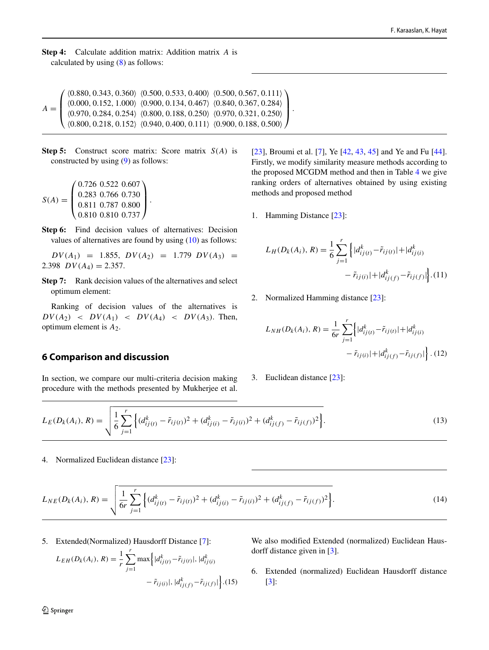**Step 4:** Calculate addition matrix: Addition matrix *A* is calculated by using [\(8\)](#page-7-3) as follows:

 $A =$  $\sqrt{2}$  $\mathbf{I}$  $\mathbf{I}$  $\mathbf{I}$ 0.880*,* 0.343*,* 0.360 0.500*,* 0.533*,* 0.400 0.500*,* 0.567*,* 0.111  $(0.000, 0.152, 1.000)$   $(0.900, 0.134, 0.467)$   $(0.840, 0.367, 0.284)$ 0.970*,* 0.284*,* 0.254 0.800*,* 0.188*,* 0.250 0.970*,* 0.321*,* 0.250  $(0.800, 0.218, 0.152)$   $(0.940, 0.400, 0.111)$   $(0.900, 0.188, 0.500)$ ⎞  $\mathbf{I}$  $\mathbf{I}$  $\vert \cdot$ 

**Step 5:** Construct score matrix: Score matrix *S(A)* is constructed by using [\(9\)](#page-8-1) as follows:

$$
S(A) = \begin{pmatrix} 0.726 & 0.522 & 0.607 \\ 0.283 & 0.766 & 0.730 \\ 0.811 & 0.787 & 0.800 \\ 0.810 & 0.810 & 0.737 \end{pmatrix}.
$$

**Step 6:** Find decision values of alternatives: Decision values of alternatives are found by using [\(10\)](#page-8-2) as follows:

 $DV(A_1) = 1.855, DV(A_2) = 1.779 DV(A_3) =$ 2.398  $DV(A_4) = 2.357$ .

**Step 7:** Rank decision values of the alternatives and select optimum element:

Ranking of decision values of the alternatives is  $DV(A_2)$  <  $DV(A_1)$  <  $DV(A_4)$  <  $DV(A_3)$ . Then, optimum element is *A*2.

### <span id="page-9-0"></span>**6 Comparison and discussion**

In section, we compare our multi-criteria decision making procedure with the methods presented by Mukherjee et al.

[\[23\]](#page-19-0), Broumi et al. [\[7\]](#page-18-9), Ye [\[42,](#page-19-33) [43,](#page-19-34) [45\]](#page-19-35) and Ye and Fu [\[44\]](#page-19-36). Firstly, we modify similarity measure methods according to the proposed MCGDM method and then in Table [4](#page-11-3) we give ranking orders of alternatives obtained by using existing methods and proposed method

1. Hamming Distance [\[23\]](#page-19-0):

$$
L_H(D_k(A_i), R) = \frac{1}{6} \sum_{j=1}^r \left\{ |d_{ij(t)}^k - \tilde{r}_{ij(t)}| + |d_{ij(t)}^k - \tilde{r}_{ij(t)}| + |d_{ij(f)}^k - \tilde{r}_{ij(f)}| \right\}.
$$
(11)

2. Normalized Hamming distance [\[23\]](#page-19-0):

<span id="page-9-1"></span>
$$
L_{NH}(D_k(A_i), R) = \frac{1}{6r} \sum_{j=1}^r \left\{ |d_{ij(t)}^k - \tilde{r}_{ij(t)}| + |d_{ij(t)}^k - \tilde{r}_{ij(t)}| + |d_{ij(f)}^k - \tilde{r}_{ij(f)}| \right\}.
$$
(12)

3. Euclidean distance [\[23\]](#page-19-0):

$$
L_E(D_k(A_i), R) = \sqrt{\frac{1}{6} \sum_{j=1}^r \left\{ (d_{ij(t)}^k - \tilde{r}_{ij(t)})^2 + (d_{ij(t)}^k - \tilde{r}_{ij(t)})^2 + (d_{ij(t)}^k - \tilde{r}_{ij(t)})^2 \right\}}.
$$
\n(13)

4. Normalized Euclidean distance [\[23\]](#page-19-0):

$$
L_{NE}(D_k(A_i), R) = \sqrt{\frac{1}{6r} \sum_{j=1}^r \left\{ (d_{ij(t)}^k - \tilde{r}_{ij(t)})^2 + (d_{ij(t)}^k - \tilde{r}_{ij(t)})^2 + (d_{ij(f)}^k - \tilde{r}_{ij(f)})^2 \right\}}.
$$
\n(14)

.(15)

5. Extended(Normalized) Hausdorff Distance [\[7\]](#page-18-9):

$$
L_{EH}(D_k(A_i), R) = \frac{1}{r} \sum_{j=1}^r \max \left\{ |d_{ij(t)}^k - \tilde{r}_{ij(t)}|, |d_{ij(t)}^k - \tilde{r}_{ij(t)}|, |d_{ij(f)}^k - \tilde{r}_{ij(f)}| \right\}.
$$

We also modified Extended (normalized) Euclidean Hausdorff distance given in [\[3\]](#page-18-10).

6. Extended (normalized) Euclidean Hausdorff distance [\[3\]](#page-18-10):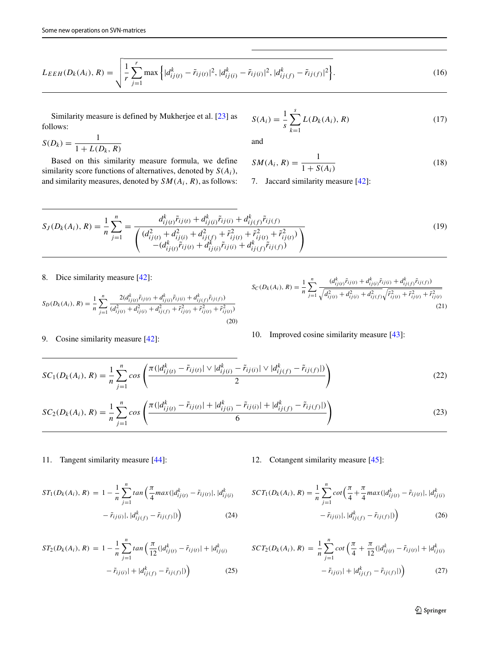$$
L_{EEH}(D_k(A_i), R) = \sqrt{\frac{1}{r} \sum_{j=1}^r \max \left\{ |d_{ij(t)}^k - \tilde{r}_{ij(t)}|^2, |d_{ij(t)}^k - \tilde{r}_{ij(t)}|^2, |d_{ij(f)}^k - \tilde{r}_{ij(f)}|^2 \right\}}.
$$
\n(16)

Similarity measure is defined by Mukherjee et al. [\[23\]](#page-19-0) as follows:

$$
S(D_k) = \frac{1}{1 + L(D_k, R)}
$$

Based on this similarity measure formula, we define similarity score functions of alternatives, denoted by *S(Ai)*, and similarity measures, denoted by *SM(Ai, R)*, as follows:

$$
S(A_i) = \frac{1}{s} \sum_{k=1}^{s} L(D_k(A_i), R)
$$
 (17)

and

$$
SM(A_i, R) = \frac{1}{1 + S(A_i)}
$$
\n(18)

7. Jaccard similarity measure [\[42\]](#page-19-33):

$$
S_J(D_k(A_i), R) = \frac{1}{n} \sum_{j=1}^n = \frac{d_{ij(t)}^k \tilde{r}_{ij(t)} + d_{ij(t)}^k \tilde{r}_{ij(t)} + d_{ij(f)}^k \tilde{r}_{ij(t)} + d_{ij(t)}^2 \tilde{r}_{ij(t)}^2}{\left( \frac{d_{ij(t)}^2 + d_{ij(t)}^2 + d_{ij(f)}^2 + \tilde{r}_{ij(t)}^2 + \tilde{r}_{ij(t)}^2 + \tilde{r}_{ij(t)}^2}{- (d_{ij(t)}^k \tilde{r}_{ij(t)} + d_{ij(t)}^k \tilde{r}_{ij(t)} + d_{ij(f)}^k \tilde{r}_{ij(f)})} \right)
$$
(19)

8. Dice similarity measure [\[42\]](#page-19-33):

$$
S_D(D_k(A_i), R) = \frac{1}{n} \sum_{j=1}^n \frac{2(d_{ij(t)}^k \tilde{r}_{ij(t)} + d_{ij(t)}^k \tilde{r}_{ij(t)} + d_{ij(f)}^k \tilde{r}_{ij(t)})}{(d_{ij(t)}^2 + d_{ij(t)}^2 + d_{ij(f)}^2 + \tilde{r}_{ij(t)}^2 + \tilde{r}_{ij(t)}^2 + \tilde{r}_{ij(t)}^2)}
$$
(20)

9. Cosine similarity measure [\[42\]](#page-19-33):

$$
S_C(D_k(A_i), R) = \frac{1}{n} \sum_{j=1}^n \frac{(d_{ij(t)}^k \tilde{r}_{ij(t)} + d_{ij(t)}^k \tilde{r}_{ij(t)} + d_{ij(f)}^k \tilde{r}_{ij(t)})}{\sqrt{d_{ij(t)}^2 + d_{ij(t)}^2 + d_{ij(f)}^2} \sqrt{\tilde{r}_{ij(t)}^2 + \tilde{r}_{ij(t)}^2 + \tilde{r}_{ij(t)}^2}}
$$
(21)

10. Improved cosine similarity measure 
$$
[43]
$$
:

$$
SC_1(D_k(A_i), R) = \frac{1}{n} \sum_{j=1}^n \cos \left( \frac{\pi (|d_{ij(t)}^k - \tilde{r}_{ij(t)}| \vee |d_{ij(t)}^k - \tilde{r}_{ij(t)}| \vee |d_{ij(f)}^k - \tilde{r}_{ij(f)}|)}{2} \right)
$$
\n
$$
1 \frac{n}{\pi} \left( \pi (|d_{ij(t)}^k - \tilde{r}_{ij(t)}| + |d_{ij(t)}^k - \tilde{r}_{ij(t)}| + |d_{ij(t)}^k - \tilde{r}_{ij(f)}|) \right)
$$
\n
$$
(22)
$$

$$
SC_2(D_k(A_i), R) = \frac{1}{n} \sum_{j=1}^n \cos \left( \frac{\pi (|d_{ij(t)}^k - \tilde{r}_{ij(t)}| + |d_{ij(t)}^k - \tilde{r}_{ij(t)}| + |d_{ij(t)}^k - \tilde{r}_{ij(t)}|)}{6} \right)
$$
(23)

11. Tangent similarity measure [\[44\]](#page-19-36):

12. Cotangent similarity measure [\[45\]](#page-19-35):

$$
ST_1(D_k(A_i), R) = 1 - \frac{1}{n} \sum_{j=1}^n \tan\left(\frac{\pi}{4} \max(|d_{ij(t)}^k - \tilde{r}_{ij(t)}|, |d_{ij(t)}^k - \tilde{r}_{ij(t)}|, |d_{ij(t)}^k - \tilde{r}_{ij(t)}|, |d_{ij(t)}^k - \tilde{r}_{ij(t)}|)\right)
$$
(24)

$$
ST_2(D_k(A_i), R) = 1 - \frac{1}{n} \sum_{j=1}^n \tan\left(\frac{\pi}{12}(|d_{ij(t)}^k - \tilde{r}_{ij(t)}| + |d_{ij(t)}^k - \tilde{r}_{ij(t)}| + |d_{ij(t)}^k - \tilde{r}_{ij(t)}|)\right)
$$
(25)

$$
SCT_1(D_k(A_i), R) = \frac{1}{n} \sum_{j=1}^n \cot\left(\frac{\pi}{4} + \frac{\pi}{4} \max(|d_{ij(t)}^k - \tilde{r}_{ij(t)}|, |d_{ij(t)}^k - \tilde{r}_{ij(t)}|, |d_{ij(t)}^k - \tilde{r}_{ij(t)}|)\right)
$$
(26)

<span id="page-10-0"></span>
$$
SCT_2(D_k(A_i), R) = \frac{1}{n} \sum_{j=1}^n \cot\left(\frac{\pi}{4} + \frac{\pi}{12}(|d_{ij(t)}^k - \tilde{r}_{ij(t)}| + |d_{ij(t)}^k - \tilde{r}_{ij(t)}| + |d_{ij(t)}^k - \tilde{r}_{ij(t)}|)\right)
$$
(27)

**◯** Springer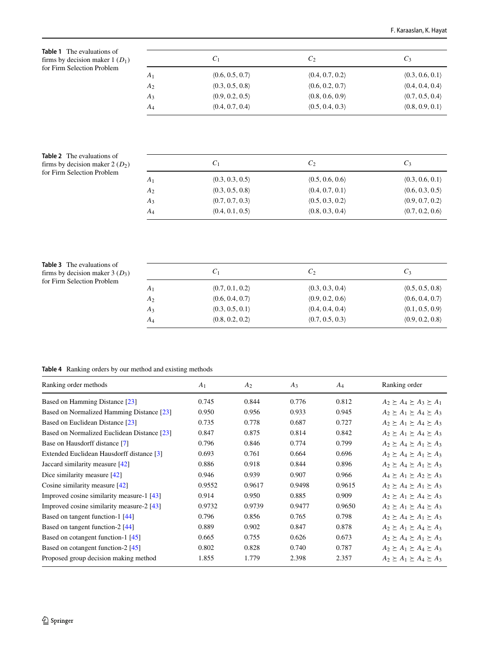<span id="page-11-0"></span>**Table 1** The evaluations of firms by decision maker 1 (*D*1) for Firm Selection Problem

<span id="page-11-1"></span>**Table 2** The evaluations of firms by decision maker 2 ( $D_2$ ) for Firm Selection Problem

|                | $C_1$                         | $C_2$           | $C_3$           |
|----------------|-------------------------------|-----------------|-----------------|
| $A_1$          | (0.6, 0.5, 0.7)               | (0.4, 0.7, 0.2) | (0.3, 0.6, 0.1) |
| A <sub>2</sub> | (0.3, 0.5, 0.8)               | (0.6, 0.2, 0.7) | (0.4, 0.4, 0.4) |
| $A_3$          | (0.9, 0.2, 0.5)               | (0.8, 0.6, 0.9) | (0.7, 0.5, 0.4) |
| $A_4$          | (0.4, 0.7, 0.4)               | (0.5, 0.4, 0.3) | (0.8, 0.9, 0.1) |
|                |                               |                 |                 |
|                | $\mathcal{C}_1$               | $C_2$           | $C_3$           |
| A <sub>1</sub> | (0.3, 0.3, 0.5)               | (0.5, 0.6, 0.6) | (0.3, 0.6, 0.1) |
| A <sub>2</sub> | (0.3, 0.5, 0.8)               | (0.4, 0.7, 0.1) | (0.6, 0.3, 0.5) |
| $A_3$          | (0.7, 0.7, 0.3)               | (0.5, 0.3, 0.2) | (0.9, 0.7, 0.2) |
| $A_4$          | $\langle0.4, 0.1, 0.5\rangle$ | (0.8, 0.3, 0.4) | (0.7, 0.2, 0.6) |
|                |                               |                 |                 |
|                |                               |                 |                 |
|                |                               |                 |                 |
|                | $\mathcal{C}_1$               | C <sub>2</sub>  | $C_3$           |

<span id="page-11-2"></span>

| <b>Table 3</b> The evaluations of |
|-----------------------------------|
| firms by decision maker $3(D_3)$  |
| for Firm Selection Problem        |

|                | $C_1$           | C <sub>2</sub>  | $C_3$           |
|----------------|-----------------|-----------------|-----------------|
| $A_1$          | (0.7, 0.1, 0.2) | (0.3, 0.3, 0.4) | (0.5, 0.5, 0.8) |
| A <sub>2</sub> | (0.6, 0.4, 0.7) | (0.9, 0.2, 0.6) | (0.6, 0.4, 0.7) |
| $A_3$          | (0.3, 0.5, 0.1) | (0.4, 0.4, 0.4) | (0.1, 0.5, 0.9) |
| A4             | (0.8, 0.2, 0.2) | (0.7, 0.5, 0.3) | (0.9, 0.2, 0.8) |

### <span id="page-11-3"></span>**Table 4** Ranking orders by our method and existing methods

| Ranking order methods                       | A <sub>1</sub> | A <sub>2</sub> | $A_3$  | $A_4$  | Ranking order                             |
|---------------------------------------------|----------------|----------------|--------|--------|-------------------------------------------|
| Based on Hamming Distance [23]              | 0.745          | 0.844          | 0.776  | 0.812  | $A_2 \succ A_4 \succ A_3 \succ A_1$       |
| Based on Normalized Hamming Distance [23]   | 0.950          | 0.956          | 0.933  | 0.945  | $A_2 \succ A_1 \succ A_4 \succ A_3$       |
| Based on Euclidean Distance [23]            | 0.735          | 0.778          | 0.687  | 0.727  | $A_2 \geq A_1 \geq A_4 \geq A_3$          |
| Based on Normalized Euclidean Distance [23] | 0.847          | 0.875          | 0.814  | 0.842  | $A_2 \succ A_1 \succ A_4 \succ A_3$       |
| Base on Hausdorff distance [7]              | 0.796          | 0.846          | 0.774  | 0.799  | $A_2 \succ A_4 \succ A_1 \succ A_3$       |
| Extended Euclidean Hausdorff distance [3]   | 0.693          | 0.761          | 0.664  | 0.696  | $A_2 \succeq A_4 \succeq A_1 \succeq A_3$ |
| Jaccard similarity measure $[42]$           | 0.886          | 0.918          | 0.844  | 0.896  | $A_2 \succeq A_4 \succeq A_1 \succeq A_3$ |
| Dice similarity measure $[42]$              | 0.946          | 0.939          | 0.907  | 0.966  | $A_4 \succ A_1 \succ A_2 \succ A_3$       |
| Cosine similarity measure $[42]$            | 0.9552         | 0.9617         | 0.9498 | 0.9615 | $A_2 \succ A_4 \succ A_1 \succ A_3$       |
| Improved cosine similarity measure-1 [43]   | 0.914          | 0.950          | 0.885  | 0.909  | $A_2 \succ A_1 \succ A_4 \succ A_3$       |
| Improved cosine similarity measure-2 $[43]$ | 0.9732         | 0.9739         | 0.9477 | 0.9650 | $A_2 \succ A_1 \succ A_4 \succ A_3$       |
| Based on tangent function-1 [44]            | 0.796          | 0.856          | 0.765  | 0.798  | $A_2 \geq A_4 \geq A_1 \geq A_3$          |
| Based on tangent function-2 [44]            | 0.889          | 0.902          | 0.847  | 0.878  | $A_2 \succeq A_1 \succeq A_4 \succeq A_3$ |
| Based on cotangent function-1 [45]          | 0.665          | 0.755          | 0.626  | 0.673  | $A_2 \succeq A_4 \succeq A_1 \succeq A_3$ |
| Based on cotangent function-2 [45]          | 0.802          | 0.828          | 0.740  | 0.787  | $A_2 \succeq A_1 \succeq A_4 \succeq A_3$ |
| Proposed group decision making method       | 1.855          | 1.779          | 2.398  | 2.357  | $A_2 \geq A_1 \geq A_4 \geq A_3$          |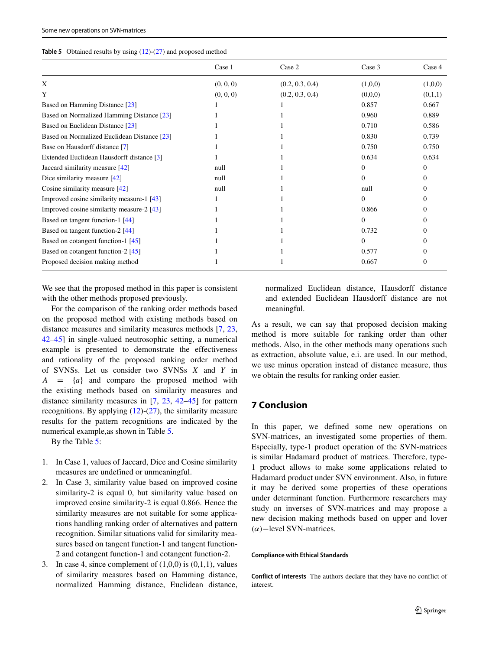<span id="page-12-1"></span>

|  | <b>Table 5</b> Obtained results by using $(12)-(27)$ and proposed method |  |  |  |  |  |  |
|--|--------------------------------------------------------------------------|--|--|--|--|--|--|
|--|--------------------------------------------------------------------------|--|--|--|--|--|--|

|                                             | Case 1    | Case 2          | Case 3   | Case 4   |
|---------------------------------------------|-----------|-----------------|----------|----------|
| X                                           | (0, 0, 0) | (0.2, 0.3, 0.4) | (1,0,0)  | (1,0,0)  |
| Y                                           | (0, 0, 0) | (0.2, 0.3, 0.4) | (0,0,0)  | (0,1,1)  |
| Based on Hamming Distance [23]              |           |                 | 0.857    | 0.667    |
| Based on Normalized Hamming Distance [23]   |           |                 | 0.960    | 0.889    |
| Based on Euclidean Distance [23]            |           |                 | 0.710    | 0.586    |
| Based on Normalized Euclidean Distance [23] |           |                 | 0.830    | 0.739    |
| Base on Hausdorff distance [7]              |           |                 | 0.750    | 0.750    |
| Extended Euclidean Hausdorff distance [3]   |           |                 | 0.634    | 0.634    |
| Jaccard similarity measure [42]             | null      |                 | $\Omega$ | $\Omega$ |
| Dice similarity measure $[42]$              | null      |                 | $\Omega$ | 0        |
| Cosine similarity measure $[42]$            | null      |                 | null     | 0        |
| Improved cosine similarity measure-1 [43]   |           |                 | $\Omega$ |          |
| Improved cosine similarity measure-2 [43]   |           |                 | 0.866    |          |
| Based on tangent function-1 [44]            |           |                 | $\Omega$ | 0        |
| Based on tangent function-2 [44]            |           |                 | 0.732    |          |
| Based on cotangent function-1 [45]          |           |                 | $\Omega$ | 0        |
| Based on cotangent function-2 [45]          |           |                 | 0.577    | 0        |
| Proposed decision making method             |           |                 | 0.667    | $\Omega$ |

We see that the proposed method in this paper is consistent with the other methods proposed previously.

For the comparison of the ranking order methods based on the proposed method with existing methods based on distance measures and similarity measures methods [\[7,](#page-18-9) [23,](#page-19-0) [42](#page-19-33)[–45\]](#page-19-35) in single-valued neutrosophic setting, a numerical example is presented to demonstrate the effectiveness and rationality of the proposed ranking order method of SVNSs. Let us consider two SVNSs *X* and *Y* in *A* = {*a*} and compare the proposed method with the existing methods based on similarity measures and distance similarity measures in [\[7,](#page-18-9) [23,](#page-19-0) [42–](#page-19-33)[45\]](#page-19-35) for pattern recognitions. By applying  $(12)-(27)$  $(12)-(27)$  $(12)-(27)$ , the similarity measure results for the pattern recognitions are indicated by the numerical example,as shown in Table [5.](#page-12-1)

By the Table [5:](#page-12-1)

- 1. In Case 1, values of Jaccard, Dice and Cosine similarity measures are undefined or unmeaningful.
- 2. In Case 3, similarity value based on improved cosine similarity-2 is equal 0, but similarity value based on improved cosine similarity-2 is equal 0.866. Hence the similarity measures are not suitable for some applications handling ranking order of alternatives and pattern recognition. Similar situations valid for similarity measures based on tangent function-1 and tangent function-2 and cotangent function-1 and cotangent function-2.
- 3. In case 4, since complement of  $(1,0,0)$  is  $(0,1,1)$ , values of similarity measures based on Hamming distance, normalized Hamming distance, Euclidean distance,

normalized Euclidean distance, Hausdorff distance and extended Euclidean Hausdorff distance are not meaningful.

As a result, we can say that proposed decision making method is more suitable for ranking order than other methods. Also, in the other methods many operations such as extraction, absolute value, e.i. are used. In our method, we use minus operation instead of distance measure, thus we obtain the results for ranking order easier.

# <span id="page-12-0"></span>**7 Conclusion**

In this paper, we defined some new operations on SVN-matrices, an investigated some properties of them. Especially, type-1 product operation of the SVN-matrices is similar Hadamard product of matrices. Therefore, type-1 product allows to make some applications related to Hadamard product under SVN environment. Also, in future it may be derived some properties of these operations under determinant function. Furthermore researchers may study on inverses of SVN-matrices and may propose a new decision making methods based on upper and lover *(α)*−level SVN-matrices.

#### **Compliance with Ethical Standards**

**Conflict of interests** The authors declare that they have no conflict of interest.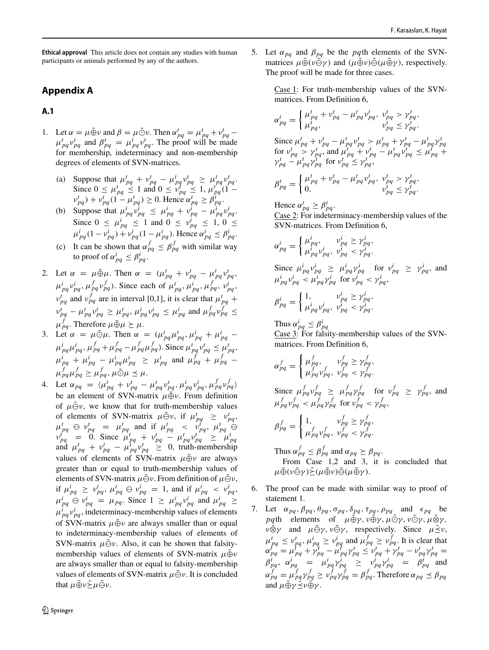**Ethical approval** This article does not contain any studies with human participants or animals performed by any of the authors.

# **Appendix A**

## **A.1**

- 1. Let  $\alpha = \mu \tilde{\oplus} \nu$  and  $\beta = \mu \tilde{\odot} \nu$ . Then  $\alpha_{pq}^t = \mu_{pq}^t + \nu_{pq}^t \mu_{pq}^t \nu_{pq}^t$  and  $\beta_{pq}^t = \mu_{pq}^t \nu_{pq}^t$ . The proof will be made for membership, indeterminacy and non-membership degrees of elements of SVN-matrices.
	- (a) Suppose that  $\mu_{pq}^t + v_{pq}^t \mu_{pq}^t v_{pq}^t \ge \mu_{pq}^t v_{pq}^t$ . Since  $0 \le \mu_{pq}^t \le 1$  and  $0 \le \nu_{pq}^t \le 1$ ,  $\mu_{pq}^{t-1} (1$  $v_{pq}^t$ ) +  $v_{pq}^t$  (1 –  $\mu_{pq}^t$ ) ≥ 0. Hence  $\alpha_{pq}^t \geq \beta_{pq}^t$ .
	- (b) Suppose that  $\mu_{pq}^i v_{pq}^i \leq \mu_{pq}^i + v_{pq}^i \mu_{pq}^i v_{pq}^i$ . Since  $0 \leq \mu_{pq}^i \leq 1$  and  $0 \leq \nu_{pq}^i \leq 1, 0 \leq$  $\mu_{pq}^{i}(1 - \nu_{pq}^{i}) + \nu_{pq}^{i}(1 - \mu_{pq}^{i})$ . Hence  $\alpha_{pq}^{i} \leq \beta_{pq}^{i}$ .
	- (c) It can be shown that  $\alpha_{pq}^f \leq \beta_{pq}^f$  with similar way to proof of  $\alpha_{pq}^i \leq \beta_{pq}^i$ .
- 2. Let  $\alpha = \mu \tilde{\oplus} \mu$ . Then  $\alpha = (\mu_{pq}^t + v_{pq}^t \mu_{pq}^t v_{pq}^t$ ,  $\mu_{pq}^i, \nu_{pq}^i, \mu_{pq}^f, \nu_{pq}^f$ ). Since each of  $\mu_{pq}^t, \mu_{pq}^i, \mu_{pq}^f, \nu_{pq}^t$  $v_{pq}^t$  and  $v_{pq}^f$  are in interval [0,1], it is clear that  $\mu_{pq}^t$  +  $v_{pq}^t - \mu_{pq}^t v_{pq}^t \ge \mu_{pq}^t$ ,  $\mu_{pq}^i v_{pq}^i \le \mu_{pq}^i$  and  $\mu_{pq}^f v_{pq}^f \le$  $\mu_{pq}^f$ . Therefore  $\mu \tilde{\oplus} \mu \geq \mu$ .
- 3. Let  $\alpha = \mu \tilde{\odot} \mu$ . Then  $\alpha = (\mu_{pq}^t \mu_{pq}^t, \mu_{pq}^t + \mu_{pq}^t \mu_{pq}^i \mu_{pq}^j, \mu_{pq}^f + \mu_{pq}^f - \mu_{pq}^f \mu_{pq}^f$ ). Since  $\mu_{pq}^t \nu_{pq}^t \leq \mu_{pq}^t$  $\mu_{pq}^{i} + \mu_{pq}^{i} - \mu_{pq}^{i} \mu_{pq}^{i} \geq \mu_{pq}^{i}$  and  $\mu_{pq}^{f} + \mu_{pq}^{f} - \mu_{pq}^{f}$  $\mu_{pq}^f \mu_{pq}^f \geq \mu_{pq}^f, \mu \tilde{\odot} \mu \leq \mu.$
- 4. Let  $\alpha_{pq} = \langle \mu_{pq}^t + v_{pq}^t \mu_{pq}^t v_{pq}^t, \mu_{pq}^i v_{pq}^i, \mu_{pq}^f v_{pq}^f \rangle$ be an element of SVN-matrix  $\mu \tilde{\oplus} \nu$ . From definition of  $\mu \tilde{\ominus} \nu$ , we know that for truth-membership values of elements of SVN-matrix  $\mu \tilde{\ominus} \nu$ , if  $\mu_{pq}^t \geq \nu_{pq}^t$ ,  $\mu_{pq}^t \oplus \nu_{pq}^t = \mu_{pq}^t$  and if  $\mu_{pq}^t < \nu_{pq}^t$ ,  $\mu_{pq}^t \oplus \nu_{pq}^t = 0$ . Since  $\mu_{pq}^t + \nu_{pq}^t - \mu_{pq}^t \nu_{pq}^t \ge \mu_{pq}^t$ <br>and  $\mu_{pq}^t + \nu_{pq}^t - \mu_{pq}^t \nu_{pq}^t \ge 0$ , truth-membership values of elements of SVN-matrix  $\mu \tilde{\oplus} \nu$  are always greater than or equal to truth-membership values of elements of SVN-matrix  $\mu \tilde{\ominus} \nu$ . From definition of  $\mu \tilde{\ominus} \nu$ , if  $\mu_{pq}^i \geq \nu_{pq}^i$ ,  $\mu_{pq}^i \ominus \nu_{pq}^i = 1$ , and if  $\mu_{pq}^i < \nu_{pq}^i$ ,  $\mu_{pq}^{i} \oplus \nu_{pq}^{i} = \mu_{pq}$ . Since  $1 \geq \mu_{pq}^{i} \nu_{pq}^{i}$  and  $\mu_{pq}^{i} \geq$  $\mu_{pq}^i v_{pq}^i$ , indeterminacy-membership values of elements of SVN-matrix *μ*⊕ν are always smaller than or equal to indeterminacy-membership values of elements of SVN-matrix  $\mu \tilde{\ominus} \nu$ . Also, it can be shown that falsitymembership values of elements of SVN-matrix  $\mu \tilde{\oplus} \nu$ are always smaller than or equal to falsity-membership values of elements of SVN-matrix  $\mu \tilde{\ominus} \nu$ . It is concluded that  $\mu \tilde{\oplus} \nu \tilde{\ge} \mu \tilde{\ominus} \nu$ .
- $\textcircled{2}$  Springer

5. Let  $\alpha_{pq}$  and  $\beta_{pq}$  be the *pq*th elements of the SVNmatrices  $\mu \tilde{\oplus} (\nu \tilde{\ominus} \gamma)$  and  $(\mu \tilde{\oplus} \nu) \tilde{\ominus} (\mu \tilde{\oplus} \gamma)$ , respectively. The proof will be made for three cases.

> Case 1: For truth-membership values of the SVNmatrices. From Definition 6,

$$
\alpha_{pq}^{t} = \begin{cases}\n\mu_{pq}^{t} + v_{pq}^{t} - \mu_{pq}^{t} v_{pq}^{t}, & \nu_{pq}^{t} > \gamma_{pq}^{t}, \\
\mu_{pq}^{t}, & \nu_{pq}^{t} \leq \gamma_{pq}^{t}.\n\end{cases}
$$
\n
$$
\text{Since } \mu_{pq}^{t} + v_{pq}^{t} - \mu_{pq}^{t} v_{pq}^{t} > \mu_{pq}^{t} + \gamma_{pq}^{t} - \mu_{pq}^{t} v_{pq}^{t} \text{ for } v_{pq}^{t} > \gamma_{pq}^{t}, \text{ and } \mu_{pq}^{t} + v_{pq}^{t} - \mu_{pq}^{t} v_{pq}^{t} \leq \mu_{pq}^{t} + \gamma_{pq}^{t} - \mu_{pq}^{t} v_{pq}^{t},
$$
\n
$$
\beta_{pq}^{t} = \begin{cases}\n\mu_{pq}^{t} + v_{pq}^{t} - \mu_{pq}^{t} v_{pq}^{t}, & \nu_{pq}^{t} > \gamma_{pq}^{t}, \\
0, & \nu_{pq}^{t} \leq \gamma_{pq}^{t}.\n\end{cases}
$$

 $0, \qquad \qquad \begin{array}{ccc} v_i^1 & v_i^2 & v_i^3 \end{array}$ 

Hence  $\alpha_{pq}^t \geq \beta_{pq}^t$ .

Case 2: For indeterminacy-membership values of the SVN-matrices. From Definition 6,

$$
\alpha_{pq}^i = \begin{cases} \mu_{pq}^i, & \nu_{pq}^i \geq \gamma_{pq}^i, \\ \mu_{pq}^i \nu_{pq}^i, & \nu_{pq}^i < \gamma_{pq}^i. \end{cases}
$$

Since  $\mu_{pq}^i v_{pq}^i \ge \mu_{pq}^i v_{pq}^i$  for  $v_{pq}^i \ge v_{pq}^i$ , and  $\mu_{pq}^i v_{pq}^i < \mu_{pq}^i v_{pq}^i$  for  $v_{pq}^i < v_{pq}^i$ ,

$$
\beta_{pq}^i = \begin{cases} 1, & v_{pq}^i \ge \gamma_{pq}^i, \\ \mu_{pq}^i v_{pq}^i, & v_{pq}^i < \gamma_{pq}^i. \end{cases}
$$

Thus  $\alpha_{pq}^i \leq \beta_{pq}^i$ 

Case 3: For falsity-membership values of the SVNmatrices. From Definition 6,

$$
\alpha_{pq}^f = \begin{cases}\n\mu_{pq}^f, & \nu_{pq}^f \ge \gamma_{pq}^f, \\
\mu_{pq}^f \nu_{pq}^f, & \nu_{pq}^f < \gamma_{pq}^f.\n\end{cases}
$$
\nSince  $\mu_{pq}^f \nu_{pq}^f \ge \mu_{pq}^f \gamma_{pq}^f$  for  $\nu_{pq}^f \ge \gamma_{pq}^f$ , and  $\mu_{pq}^f \nu_{pq}^f < \mu_{pq}^f \nu_{pq}^f$  for  $\nu_{pq}^f < \gamma_{pq}^f$ ,

$$
\beta_{pq}^f = \begin{cases} 1, & v_{pq}^f \ge \gamma_{pq}^f, \\ \mu_{pq}^f v_{pq}^f, & v_{pq}^f < \gamma_{pq}^f. \end{cases}
$$

Thus  $\alpha_{pq}^f \leq \beta_{pq}^f$  and  $\alpha_{pq} \geq \beta_{pq}$ . From Case 1,2 and 3, it is concluded that  $\mu \tilde{\oplus} (\nu \tilde{\ominus} \gamma) \tilde{\rightarrow} (\mu \tilde{\oplus} \nu) \tilde{\ominus} (\mu \tilde{\oplus} \gamma).$ 

- 6. The proof can be made with similar way to proof of statement 1.
- 7. Let  $\alpha_{pq}, \beta_{pq}, \theta_{pq}, \sigma_{pq}, \delta_{pq}, \tau_{pq}, \rho_{pq}$  and  $\epsilon_{pq}$  be *pq*th elements of  $\mu \oplus \gamma$ ,  $\nu \oplus \gamma$ ,  $\mu \odot \gamma$ ,  $\nu \odot \gamma$ ,  $\mu \otimes \gamma$ , *ν*⊗γ and  $\mu \tilde{\Theta} \gamma$ , *ν* $\tilde{\Theta} \gamma$ , respectively. Since  $\mu \tilde{\preceq} \nu$ ,  $\mu_{pq}^t \leq \nu_{pq}^t$ ,  $\mu_{pq}^i \geq \nu_{pq}^i$  and  $\mu_{pq}^f \geq \nu_{pq}^f$ . It is clear that  $\alpha_{pq}^{f^{-1}} = \mu_{pq}^{f^{-1}} + \gamma_{pq}^{t} - \mu_{pq}^{t} \gamma_{pq}^{t} \leq \nu_{pq}^{t} + \gamma_{pq}^{t} - \nu_{pq}^{t} \gamma_{pq}^{t} =$  $\beta_{pq}^t$ ,  $\alpha_{pq}^i = \mu_{pq}^i \gamma_{pq}^i \geq \nu_{pq}^i \gamma_{pq}^i = \beta_{pq}^t$  and  $\alpha_{pq}^f = \mu_{pq}^f \gamma_{pq}^f \geq \nu_{pq}^f \gamma_{pq}^f = \beta_{pq}^f$ . Therefore  $\alpha_{pq} \leq \beta_{pq}$ and  $\mu \tilde{\oplus} \gamma \tilde{\prec} \nu \tilde{\oplus} \gamma$ .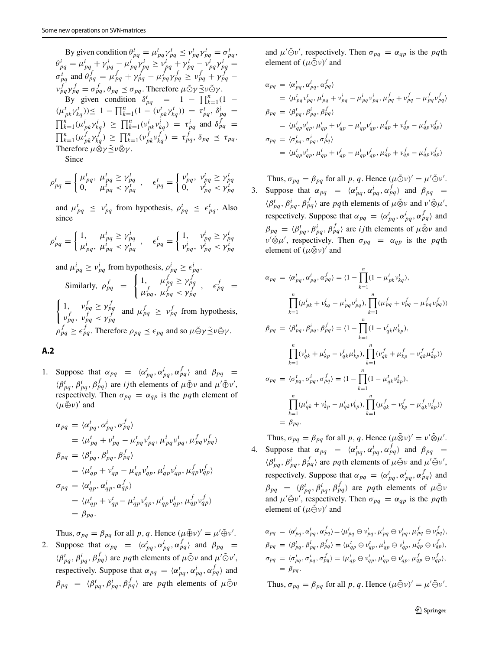By given condition  $\theta_{pq}^t = \mu_{pq}^t \gamma_{pq}^t \leq \nu_{pq}^t \gamma_{pq}^t = \sigma_{pq}^t$ ,  $\theta_{pq}^i = \mu_{pq}^i + \gamma_{pq}^i - \mu_{pq}^i \gamma_{pq}^i \geq v_{pq}^i + \gamma_{pq}^i - v_{pq}^i \gamma_{pq}^i =$  $\sigma_{pq}^f$  and  $\theta_{pq}^f = \mu_{pq}^f + \gamma_{pq}^f - \mu_{pq}^f \gamma_{pq}^f \ge \nu_{pq}^f + \gamma_{pq}^f - \nu_{pq}^f$ *ν*<sup>*f*</sup><sub>*γ*</sub> *f*<sub>*<i>y*</sub></sup>  $\leq$  *σ<sub><i>pq*</sub></sub>  $\leq$  *σ<sub><i>pq*</sub>. Therefore *μ* $\tilde{\odot}$ γ $\leq$ *ν* $\tilde{\odot}$ γ $\leq$ </sub> By given condition  $\delta_{pq}^t = 1 - \prod_{k=1}^n (1 (\mu_{pk}^t \gamma_{kq}^t) \leq 1 - \prod_{k=1}^n (1 - (\nu_{pk}^t \gamma_{kq}^t)) = \tau_{pq}^t, \delta_{pq}^i = 0$  $\prod_{k=1}^{n} (\mu_{pk}^{i} \gamma_{kq}^{i}) \ge \prod_{k=1}^{n} (\nu_{pk}^{i} \nu_{kq}^{i}) = \tau_{pq}^{i}$  and  $\delta_{pq}^{f}$  $\prod_{k=1}^{n} (\mu_{pk}^{f} \gamma_{kq}^{f}) \ge \prod_{k=1}^{n} (\nu_{pk}^{f} \nu_{kq}^{f}) = \tau_{pq}^{f}, \delta_{pq} \le \tau_{pq}.$ Therefore  $\mu\tilde{⊗}ν$ <sup>ζ</sup>ν⊗ν.

Since

$$
\rho_{pq}^t = \begin{cases} \mu_{pq}^t, & \mu_{pq}^t \ge \gamma_{pq}^t \\ 0, & \mu_{pq}^t < \gamma_{pq}^t \end{cases}, \quad \epsilon_{pq}^t = \begin{cases} \nu_{pq}^t, & \nu_{pq}^t \ge \gamma_{pq}^t \\ 0, & \nu_{pq}^t < \gamma_{pq}^t \end{cases}
$$

and  $\mu_{pq}^t \leq \nu_{pq}^t$  from hypothesis,  $\rho_{pq}^t \leq \epsilon_{pq}^t$ . Also since

$$
\rho_{pq}^i = \begin{cases}\n1, & \mu_{pq}^i \ge \gamma_{pq}^i \\
\mu_{pq}^i, & \mu_{pq}^i < \gamma_{pq}^i = \begin{cases}\n1, & \nu_{pq}^i \ge \gamma_{pq}^i \\
\nu_{pq}^i, & \nu_{pq}^i < \gamma_{pq}^i\n\end{cases} \\
\text{and } \mu_{pq}^i \ge \nu_{pq}^i \text{ from hypothesis, } \rho_{pq}^i \ge \epsilon_{pq}^i.
$$
\n
$$
\text{Similarly, } \rho_{pq}^f = \begin{cases}\n1, & \mu_{pq}^f \ge \gamma_{pq}^f \\
\mu_{pq}^f, & \mu_{pq}^f < \gamma_{pq}^f\n\end{cases} \\
\text{and } \mu_{pq}^f \ge \gamma_{pq}^f \text{ and } \mu_{pq}^f \ge \nu_{pq}^f \text{ from hypothesis,}
$$
\n
$$
\begin{cases}\n1, & \nu_{pq}^f \ge \gamma_{pq}^f \\
\nu_{pq}^f, & \nu_{pq}^f < \gamma_{pq}^f\n\end{cases} \text{ and } \mu_{pq}^f \ge \nu_{pq}^f \text{ from hypothesis,}
$$
\n
$$
\rho_{pq}^f \ge \epsilon_{pq}^f. \text{ Therefore } \rho_{pq} \le \epsilon_{pq} \text{ and so } \mu \tilde{\Theta} \gamma \tilde{\Xi} \nu \tilde{\Theta} \gamma.
$$

### <span id="page-14-0"></span>**A.2**

1. Suppose that  $\alpha_{pq} = \langle \alpha_{pq}^t, \alpha_{pq}^i, \alpha_{pq}^f \rangle$  and  $\beta_{pq} =$  $\langle \beta_{pq}^t, \beta_{pq}^i, \beta_{pq}^f \rangle$  are *ij*th elements of  $\mu \oplus \nu$  and  $\mu' \oplus \nu'$ , respectively. Then  $\sigma_{pq} = \alpha_{qp}$  is the *pq*th element of  $(\mu \oplus \nu)'$  and

$$
\alpha_{pq} = \langle \alpha_{pq}^t, \alpha_{pq}^i, \alpha_{pq}^f \rangle
$$
  
\n
$$
= \langle \mu_{pq}^t + v_{pq}^t - \mu_{pq}^t v_{pq}^t, \mu_{pq}^i v_{pq}^i, \mu_{pq}^f v_{pq}^f \rangle
$$
  
\n
$$
\beta_{pq} = \langle \beta_{pq}^t, \beta_{pq}^i, \beta_{pq}^f \rangle
$$
  
\n
$$
= \langle \mu_{qp}^t + v_{qp}^t - \mu_{qp}^t v_{qp}^t, \mu_{qp}^i v_{qp}^i, \mu_{qp}^f v_{qp}^f \rangle
$$
  
\n
$$
\sigma_{pq} = \langle \alpha_{qp}^t, \alpha_{qp}^i, \alpha_{qp}^f \rangle
$$
  
\n
$$
= \langle \mu_{qp}^t + v_{qp}^t - \mu_{qp}^t v_{qp}^t, \mu_{qp}^i v_{qp}^i, \mu_{qp}^f v_{qp}^f \rangle
$$
  
\n
$$
= \beta_{pq}.
$$

Thus,  $\sigma_{pq} = \beta_{pq}$  for all p, q. Hence  $(\mu \oplus \nu)' = \mu' \oplus \nu'$ .

2. Suppose that  $\alpha_{pq} = \langle \alpha_{pq}^t, \alpha_{pq}^i, \alpha_{pq}^f \rangle$  and  $\beta_{pq} =$  $\langle \beta_{pq}^t, \beta_{pq}^i, \beta_{pq}^f \rangle$  are *pq*th elements of  $\mu \tilde{\odot} \nu$  and  $\mu' \tilde{\odot} \nu'$ , respectively. Suppose that  $\alpha_{pq} = \langle \alpha_{pq}^t, \alpha_{pq}^i, \alpha_{pq}^f \rangle$  and  $\beta_{pq} = \langle \beta_{pq}^t, \beta_{pq}^i, \beta_{pq}^f \rangle$  are *pq*th elements of  $\mu \tilde{\odot} \nu$ 

and  $\mu' \tilde{\odot} \nu'$ , respectively. Then  $\sigma_{pq} = \alpha_{qp}$  is the *pq*th element of  $(\mu \tilde{\odot} \nu)'$  and

$$
\alpha_{pq} = \langle \alpha_{pq}^{t}, \alpha_{pq}^{i}, \alpha_{pq}^{f} \rangle
$$
  
\n
$$
= \langle \mu_{pq}^{t} v_{pq}^{t}, \mu_{pq}^{i} + v_{pq}^{i} - \mu_{pq}^{i} v_{pq}^{i}, \mu_{pq}^{f} + v_{pq}^{f} - \mu_{pq}^{f} v_{pq}^{f} \rangle
$$
  
\n
$$
\beta_{pq} = \langle \beta_{pq}^{t}, \beta_{pq}^{i}, \beta_{pq}^{f} \rangle
$$
  
\n
$$
= \langle \mu_{qp}^{t} v_{qp}^{t}, \mu_{qp}^{i} + v_{qp}^{i} - \mu_{qp}^{i} v_{qp}^{i}, \mu_{qp}^{f} + v_{qp}^{f} - \mu_{qp}^{f} v_{qp}^{f} \rangle
$$
  
\n
$$
\sigma_{pq} = \langle \sigma_{pq}^{t}, \sigma_{pq}^{i}, \sigma_{pq}^{f} \rangle
$$
  
\n
$$
= \langle \mu_{qp}^{t} v_{qp}^{t}, \mu_{qp}^{i} + v_{qp}^{i} - \mu_{qp}^{i} v_{qp}^{i}, \mu_{qp}^{f} + v_{qp}^{f} - \mu_{qp}^{f} v_{qp}^{f} \rangle
$$

Thus,  $\sigma_{pq} = \beta_{pq}$  for all p, q. Hence  $(\mu \tilde{\odot} \nu)' = \mu' \tilde{\odot} \nu'$ . 3. Suppose that  $\alpha_{pq} = \langle \alpha_{pq}^t, \alpha_{pq}^i, \alpha_{pq}^f \rangle$  and  $\beta_{pq} =$  $\langle \beta_{pq}^t, \beta_{pq}^i, \beta_{pq}^f \rangle$  are *pq*th elements of  $\mu \tilde{\otimes} \nu$  and  $\nu' \tilde{\otimes} \mu'$ , respectively. Suppose that  $\alpha_{pq} = \langle \alpha_{pq}^t, \alpha_{pq}^i, \alpha_{pq}^f \rangle$  and  $\beta_{pq} = \langle \beta_{pq}^t, \beta_{pq}^i, \beta_{pq}^f \rangle$  are *ij*th elements of  $\mu \tilde{\otimes} \nu$  and  $\nu' \tilde{\otimes} \mu'$ , respectively. Then  $\sigma_{pq} = \alpha_{qp}$  is the *pq*th element of  $(\mu \tilde{\otimes} \nu)'$  and

$$
\alpha_{pq} = \langle \alpha_{pq}^{t}, \alpha_{pq}^{i}, \alpha_{pq}^{f} \rangle = \langle 1 - \prod_{k=1}^{n} (1 - \mu_{pk}^{t} v_{kq}^{t}),
$$
  

$$
\prod_{k=1}^{n} (\mu_{pk}^{i} + v_{kq}^{i} - \mu_{pq}^{i} v_{pq}^{i}), \prod_{k=1}^{n} (\mu_{pq}^{f} + v_{pq}^{f} - \mu_{pq}^{f} v_{pq}^{f}) \rangle
$$
  

$$
\beta_{pq} = \langle \beta_{pq}^{t}, \beta_{pq}^{i}, \beta_{pq}^{f} \rangle = \langle 1 - \prod_{k=1}^{n} (1 - v_{qk}^{t} \mu_{kp}^{t}),
$$
  

$$
\prod_{k=1}^{n} (v_{qk}^{i} + \mu_{kp}^{i} - v_{qk}^{i} \mu_{kp}^{i}), \prod_{k=1}^{n} (v_{qk}^{f} + \mu_{kp}^{f} - v_{qk}^{f} \mu_{kp}^{f}) \rangle
$$
  

$$
\sigma_{pq} = \langle \sigma_{pq}^{t}, \sigma_{pq}^{i}, \sigma_{pq}^{f} \rangle = \langle 1 - \prod_{k=1}^{n} (1 - \mu_{qk}^{t} v_{kp}^{t}),
$$
  

$$
\prod_{k=1}^{n} (\mu_{qk}^{i} + v_{kp}^{i} - \mu_{qk}^{i} v_{kp}^{i}), \prod_{k=1}^{n} (\mu_{qk}^{f} + v_{kp}^{f} - \mu_{qk}^{f} v_{kp}^{f}) \rangle
$$
  

$$
= \beta_{pq}.
$$

Thus,  $\sigma_{pq} = \beta_{pq}$  for all p, q. Hence  $(\mu \tilde{\otimes} \nu)' = \nu' \tilde{\otimes} \mu'$ . 4. Suppose that  $\alpha_{pq} = \langle \alpha_{pq}^t, \alpha_{pq}^i, \alpha_{pq}^f \rangle$  and  $\beta_{pq} =$  $\langle \beta_{pq}^t, \beta_{pq}^i, \beta_{pq}^f \rangle$  are *pq*th elements of  $\mu \tilde{\ominus} \nu$  and  $\mu' \tilde{\ominus} \nu'$ , respectively. Suppose that  $\alpha_{pq} = \langle \alpha_{pq}^t, \alpha_{pq}^i, \alpha_{pq}^f \rangle$  and  $\beta_{pq}$  =  $\langle \beta_{pq}^t, \beta_{pq}^i, \beta_{pq}^f \rangle$  are *pq*th elements of  $\mu \tilde{\ominus} \nu$ and  $\mu' \tilde{\Theta} \nu'$ , respectively. Then  $\sigma_{pq} = \alpha_{qp}$  is the *pq*th element of  $(\mu \tilde{\ominus} \nu)'$  and

$$
\alpha_{pq} = \langle \alpha'_{pq}, \alpha^i_{pq}, \alpha^f_{pq} \rangle = \langle \mu^t_{pq} \oplus v^t_{pq}, \mu^i_{pq} \oplus v^i_{pq}, \mu^f_{pq} \oplus v^f_{pq} \rangle,
$$
  
\n
$$
\beta_{pq} = \langle \beta^t_{pq}, \beta^i_{pq}, \beta^f_{pq} \rangle = \langle \mu^t_{qp} \oplus v^t_{qp}, \mu^i_{qp} \oplus v^i_{qp}, \mu^f_{qp} \oplus v^f_{qp} \rangle,
$$
  
\n
$$
\sigma_{pq} = \langle \sigma^t_{pq}, \sigma^i_{pq}, \sigma^f_{pq} \rangle = \langle \mu^t_{qp} \oplus v^t_{qp}, \mu^i_{qp} \oplus v^i_{qp}, \mu^f_{qp} \oplus v^f_{qp} \rangle,
$$
  
\n
$$
= \beta_{pq}.
$$

<span id="page-14-1"></span>Thus,  $\sigma_{pq} = \beta_{pq}$  for all *p*, *q*. Hence  $(\mu \tilde{\ominus} \nu)' = \mu' \tilde{\ominus} \nu'$ .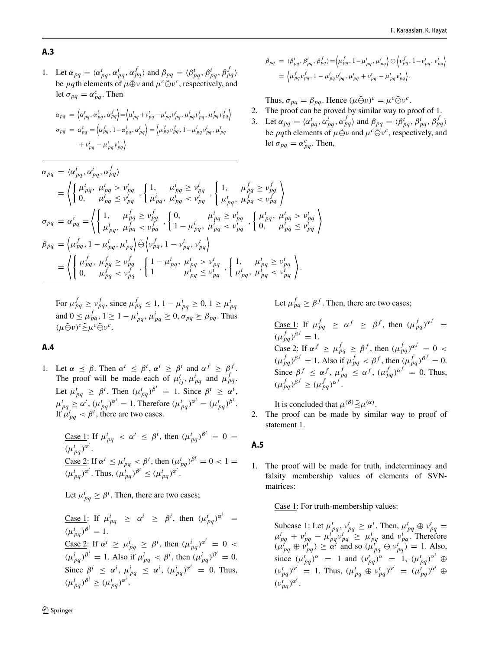1. Let  $\alpha_{pq} = \langle \alpha_{pq}^t, \alpha_{pq}^i, \alpha_{pq}^f \rangle$  and  $\beta_{pq} = \langle \beta_{pq}^t, \beta_{pq}^i, \beta_{pq}^f \rangle$ be *pq*th elements of  $\mu \tilde{\oplus} \nu$  and  $\mu^c \tilde{\odot} \nu^c$ , respectively, and let  $\sigma_{pq} = \alpha_{pq}^c$ . Then

$$
\alpha_{pq} = \left\langle \alpha_{pq}^t, \alpha_{pq}^i, \alpha_{pq}^f \right\rangle = \left\langle \mu_{pq}^t + v_{pq}^t - \mu_{pq}^t v_{pq}^t, \mu_{pq}^i v_{pq}^i, \mu_{pq}^f v_{pq}^f \right\rangle
$$
  
\n
$$
\sigma_{pq} = \alpha_{pq}^c = \left\langle \alpha_{pq}^f, 1 - \alpha_{pq}^i, \alpha_{pq}^t \right\rangle = \left\langle \mu_{pq}^f v_{pq}^f, 1 - \mu_{pq}^i v_{pq}^i, \mu_{pq}^t \right\rangle
$$
  
\n
$$
+ v_{pq}^t - \mu_{pq}^t v_{pq}^t \right\rangle
$$

$$
\alpha_{pq} = \langle \alpha_{pq}^{t}, \alpha_{pq}^{i}, \alpha_{pq}^{f} \rangle
$$
\n
$$
= \left\langle \begin{cases} \mu_{pq}^{t}, \mu_{pq}^{t} > \nu_{pq}^{t} \\ 0, \mu_{pq}^{t} \leq \nu_{pq}^{t} \end{cases}, \begin{cases} 1, \mu_{pq}^{i} \geq \nu_{pq}^{i} \\ \mu_{pq}^{i}, \mu_{pq}^{f} \leq \nu_{pq}^{f} \end{cases}, \begin{cases} 1, \mu_{pq}^{f} \geq \nu_{pq}^{f} \\ \mu_{pq}^{t}, \mu_{pq}^{f} \leq \nu_{pq}^{f} \end{cases} \right\rangle
$$
\n
$$
\sigma_{pq} = \alpha_{pq}^{c} = \left\langle \begin{cases} 1, \mu_{pq}^{f} \geq \nu_{pq}^{f} \\ \mu_{pq}^{t}, \mu_{pq}^{f} \leq \nu_{pq}^{f} \end{cases}, \begin{cases} 0, \mu_{pq}^{i} \geq \nu_{pq}^{i} \\ 1 - \mu_{pq}^{i}, \mu_{pq}^{i} \leq \nu_{pq}^{i} \end{cases}, \begin{cases} \mu_{pq}^{t}, \mu_{pq}^{t} \leq \nu_{pq}^{t} \\ 0, \mu_{pq}^{t} \leq \nu_{pq}^{f} \\ \mu_{pq}^{f}, \mu_{pq}^{f} \geq \nu_{pq}^{f} \\ 0, \mu_{pq}^{f} \leq \nu_{pq}^{f} \end{cases} \right\rangle
$$
\n
$$
= \left\langle \begin{cases} \mu_{pq}^{f}, \mu_{pq}^{f} \geq \nu_{pq}^{f} \\ 0, \mu_{pq}^{f} \leq \nu_{pq}^{f} \end{cases}, \begin{cases} 1 - \mu_{pq}^{i}, \mu_{pq}^{i} \geq \nu_{pq}^{i} \\ \mu_{pq}^{i} \leq \nu_{pq}^{i} \\ \mu_{pq}^{f}, \mu_{pq}^{f} \leq \nu_{pq}^{f} \end{cases} \right\rangle.
$$

For 
$$
\mu_{pq}^f \ge \nu_{pq}^f
$$
, since  $\mu_{pq}^f \le 1$ ,  $1 - \mu_{pq}^i \ge 0$ ,  $1 \ge \mu_{pq}^t$   
and  $0 \le \mu_{pq}^f$ ,  $1 \ge 1 - \mu_{pq}^i$ ,  $\mu_{pq}^i \ge 0$ ,  $\sigma_{pq} \ge \beta_{pq}$ . Thus  $(\mu \tilde{\ominus} \nu)^c \tilde{\ge} \mu^c \tilde{\ominus} \nu^c$ .

### <span id="page-15-0"></span>**A.4**

1. Let  $\alpha \preceq \beta$ . Then  $\alpha^t \preceq \beta^t$ ,  $\alpha^i \geq \beta^i$  and  $\alpha^f \geq \beta^f$ . The proof will be made each of  $\mu_{ij}^t$ ,  $\mu_{pq}^t$  and  $\mu_{pq}^f$ . Let  $\mu_{pq}^t \ge \beta^t$ . Then  $(\mu_{pq}^t)^{\beta^t} = 1$ . Since  $\beta^t \ge \alpha^t$ ,  $\mu_{pq}^t \ge \alpha^t$ ,  $(\mu_{pq}^t)^{\alpha^t} = 1$ . Therefore  $(\mu_{pq}^t)^{\alpha^t} = (\mu_{pq}^t)^{\beta^t}$ . If  $\mu_{pq}^t < \beta^t$ , there are two cases.

Case 1: If 
$$
\mu_{pq}^t < \alpha^t \le \beta^t
$$
, then  $(\mu_{pq}^t)^{\beta^t} = 0 =$   
\n $(\mu_{pq}^t)^{\alpha^t}$ .  
\nCase 2: If  $\alpha^t \le \mu_{pq}^t < \beta^t$ , then  $(\mu_{pq}^t)^{\beta^t} = 0 < 1 =$   
\n $(\mu_{pq}^t)^{\alpha^t}$ . Thus,  $(\mu_{pq}^t)^{\beta^t} \le (\mu_{pq}^t)^{\alpha^t}$ .

Let  $\mu_{pq}^i \geq \beta^i$ . Then, there are two cases;

 $\frac{\text{Case 1: If }}{\mu_{pq}^i} \geq \alpha^i \geq \beta^i$ , then  $(\mu_{pq}^i)^{\alpha^i}$  $(\mu_{pq}^i)^{\beta^i} = 1.$  $\frac{\text{Case 2: If } \alpha^i \geq \mu_{pq}^i \geq \beta^i, \text{ then } (\mu_{pq}^i)^{\alpha^i} = 0$  $(\mu_{pq}^i)^{\beta^i} = 1$ . Also if  $\mu_{pq}^i < \beta^i$ , then  $(\mu_{pq}^i)^{\beta^i} = 0$ . Since  $\beta^i \leq \alpha^i$ ,  $\mu_{pq}^i \leq \alpha^i$ ,  $(\mu_{pq}^i)^{\alpha^i} = 0$ . Thus,  $(\mu_{pq}^i)^{\beta^i} \geq (\mu_{pq}^i)^{\alpha^i}.$ 

Let  $\mu_{pq}^f \geq \beta^f$ . Then, there are two cases;

 $\beta_{pq} = \langle \beta_{pq}^{t}, \beta_{pq}^{i}, \beta_{pq}^{f} \rangle = \langle \mu_{pq}^{f}, 1 - \mu_{pq}^{i}, \mu_{pq}^{t} \rangle \odot \langle \nu_{pq}^{f}, 1 - \nu_{pq}^{i}, \nu_{pq}^{t} \rangle$ 

 $=\left\langle \mu_{pq}^{f}v_{pq}^{f},1-\mu_{pq}^{i}v_{pq}^{i},\mu_{pq}^{t}+v_{pq}^{t}-\mu_{pq}^{t}v_{pq}^{t}\right\rangle.$ 

Thus,  $\sigma_{pq} = \beta_{pq}$ . Hence  $(\mu \tilde{\oplus} \nu)^c = \mu^c \tilde{\odot} \nu^c$ . 2. The proof can be proved by similar way to proof of 1. 3. Let  $\alpha_{pq} = \langle \alpha_{pq}^t, \alpha_{pq}^i, \alpha_{pq}^f \rangle$  and  $\beta_{pq} = \langle \beta_{pq}^t, \beta_{pq}^i, \beta_{pq}^f \rangle$ be *pq*th elements of  $\mu \tilde{\ominus} \nu$  and  $\mu^c \tilde{\ominus} \nu^c$ , respectively, and

let  $\sigma_{pq} = \alpha_{pq}^c$ . Then,

 $\frac{\text{Case 1:}}{\text{Area}}$  If  $\mu_{pq}^f \geq \alpha^f \geq \beta^f$ , then  $(\mu_{pq}^f)^{\alpha^f} =$  $(\mu_{pq}^f)^{\beta^f} = 1.$  $\frac{\text{Case 2: If } \alpha^f \ge \mu_{pq}^f \ge \beta^f, \text{ then } (\mu_{pq}^f)^{\alpha^f} = 0$  $(\mu_{pq}^f)^{\beta^f} = 1$ . Also if  $\mu_{pq}^f < \beta^f$ , then  $(\mu_{pq}^f)^{\beta^f} = 0$ . Since  $\beta^f \le \alpha^f$ ,  $\mu_{pq}^f \le \alpha^f$ ,  $(\mu_{pq}^f)^{\alpha^f} = 0$ . Thus,  $(\mu_{pq}^f)^{\beta^f} \geq (\mu_{pq}^f)^{\alpha^f}.$ 

It is concluded that  $\mu^{(\beta)} \tilde{\leq} \mu^{(\alpha)}$ .

2. The proof can be made by similar way to proof of statement 1.

# <span id="page-15-1"></span>**A.5**

1. The proof will be made for truth, indeterminacy and falsity membership values of elements of SVNmatrices:

Case 1: For truth-membership values:

Subcase 1: Let  $\mu_{pq}^t$ ,  $\nu_{pq}^t \ge \alpha^t$ . Then,  $\mu_{pq}^t \oplus \nu_{pq}^t =$  $\mu_{pq}^t + \nu_{pq}^t - \mu_{pq}^t \nu_{pq}^t \geq \mu_{pq}^t$  and  $\nu_{pq}^t$ . Therefore  $(\mu_{pq}^t \oplus \nu_{pq}^t) \ge \alpha^t$  and so  $(\mu_{pq}^t \oplus \nu_{pq}^t) = 1$ . Also, since  $(\mu_{pq}^t)^{\alpha} = 1$  and  $(\nu_{pq}^t)^{\alpha} = 1$ ,  $(\mu_{pq}^t)^{\alpha^t} \oplus$  $(v_{pq}^t)^{\alpha^t} = 1$ . Thus,  $(\mu_{pq}^t \oplus v_{pq}^t)^{\alpha^t} = (\mu_{pq}^t)^{\alpha^t} \oplus$  $(v_{pq}^t)^{\alpha^t}$ .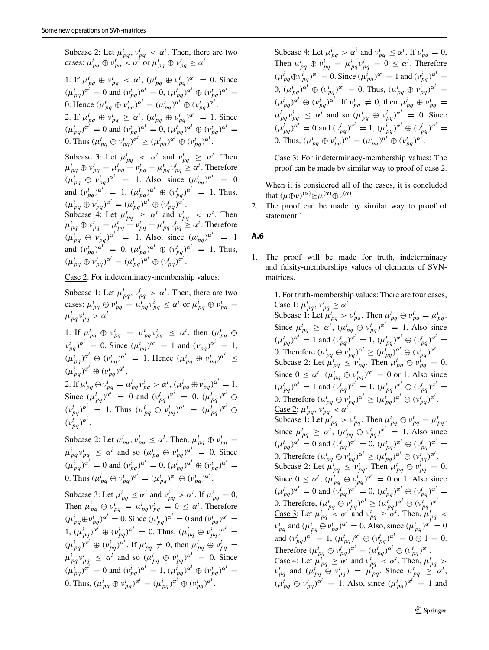Subcase 2: Let  $\mu_{pq}^t$ ,  $\nu_{pq}^t < \alpha^t$ . Then, there are two cases:  $\mu_{pq}^t \oplus \nu_{pq}^t \lt \alpha^t$  or  $\mu_{pq}^t \oplus \nu_{pq}^t \ge \alpha^t$ .

1. If 
$$
\mu_{pq}^t \oplus \nu_{pq}^t < \alpha^t
$$
,  $(\mu_{pq}^t \oplus \nu_{pq}^t)^{\alpha^t} = 0$ . Since  
\n $(\mu_{pq}^t)^{\alpha^t} = 0$  and  $(\nu_{pq}^t)^{\alpha^t} = 0$ ,  $(\mu_{pq}^t)^{\alpha^t} \oplus (\nu_{pq}^t)^{\alpha^t} = 0$ . Hence  $(\mu_{pq}^t \oplus \nu_{pq}^t)^{\alpha^t} = (\mu_{pq}^t)^{\alpha^t} \oplus (\nu_{pq}^t)^{\alpha^t}$ .  
\n2. If  $\mu_{pq}^t \oplus \nu_{pq}^t \ge \alpha^t$ ,  $(\mu_{pq}^t \oplus \nu_{pq}^t)^{\alpha^t} = 1$ . Since  
\n $(\mu_{pq}^t)^{\alpha^t} = 0$  and  $(\nu_{pq}^t)^{\alpha^t} = 0$ ,  $(\mu_{pq}^t)^{\alpha^t} \oplus (\nu_{pq}^t)^{\alpha^t} = 0$ . Thus  $(\mu_{pq}^t \oplus \nu_{pq}^t)^{\alpha^t} \ge (\mu_{pq}^t)^{\alpha^t} \oplus (\nu_{pq}^t)^{\alpha^t}$ .

Subcase 3: Let  $\mu_{pq}^t < \alpha^t$  and  $\nu_{pq}^t \ge \alpha^t$ . Then  $\mu_{pq}^t \oplus \nu_{pq}^t = \mu_{pq}^t + \nu_{pq}^t - \mu_{pq}^t \nu_{pq}^t \geq \alpha^t$ . Therefore  $(\mu_{pq}^t \oplus \nu_{pq}^t)^{\alpha^t} = 1$ . Also, since  $(\mu_{pq}^t)^{\alpha^t} = 0$ and  $(v_{pq}^t)^{\alpha^t} = 1$ ,  $(\mu_{pq}^t)^{\alpha^t} \oplus (v_{pq}^t)^{\alpha^t} = 1$ . Thus,  $(\mu_{pq}^t \oplus \nu_{pq}^t)^{\alpha^t} = (\mu_{pq}^t)^{\alpha^t} \oplus (\nu_{pq}^t)^{\alpha^t}.$ 

Subcase 4: Let  $\mu_{pq}^t \geq \alpha^t$  and  $\nu_{pq}^t < \alpha^t$ . Then  $\mu_{pq}^t \oplus \nu_{pq}^t = \mu_{pq}^t + \nu_{pq}^t - \mu_{pq}^t \nu_{pq}^t \geq \alpha^t$ . Therefore  $(\mu_{pq}^t \oplus \nu_{pq}^t)^{\alpha^t} = 1$ . Also, since  $(\mu_{pq}^t)^{\alpha^t} = 1$ and  $(v_{pq}^t)^{\alpha^t} = 0$ ,  $(\mu_{pq}^t)^{\alpha^t} \oplus (v_{pq}^t)^{\alpha^t} = 1$ . Thus,  $(\mu_{pq}^t \oplus \nu_{pq}^t)^{\alpha^t} = (\mu_{pq}^t)^{\alpha^t} \oplus (\nu_{pq}^t)^{\alpha^t}.$ 

Case 2: For indeterminacy-membership values:

Subcase 1: Let  $\mu_{pq}^i$ ,  $\nu_{pq}^i > \alpha^i$ . Then, there are two cases:  $\mu_{pq}^i \oplus \nu_{pq}^i = \mu_{pq}^i \nu_{pq}^i \leq \alpha^i$  or  $\mu_{pq}^i \oplus \nu_{pq}^i =$  $\mu_{pq}^i v_{pq}^i > \alpha^i$ .

1. If  $\mu_{pq}^i \oplus \nu_{pq}^i = \mu_{pq}^i \nu_{pq}^i \leq \alpha^i$ , then  $(\mu_{pq}^i \oplus$  $v_{pq}^i$  *)*<sup>*ai*</sup> = 0. Since  $(\mu_{pq}^i)$ <sup>*ai*</sup> = 1 and  $(v_{pq}^i)$ <sup>*ai*</sup> = 1,  $(\mu_{pq}^i)^{\alpha^i} \oplus (\nu_{pq}^i)^{\alpha^i} = 1$ . Hence  $(\mu_{pq}^i \oplus \nu_{pq}^i)^{\alpha^i} \leq$  $(\mu_{pq}^i)^{\alpha^i} \oplus (\nu_{pq}^i)^{\alpha^i}.$ 2. If  $\mu_{pq}^i \oplus \nu_{pq}^i = \mu_{pq}^i \nu_{pq}^i > \alpha^i$ ,  $(\mu_{pq}^i \oplus \nu_{pq}^i)^{\alpha^i} = 1$ . Since  $(\mu_{pq}^i)^{\alpha^i} = 0$  and  $(\nu_{pq}^i)^{\alpha^i} = 0$ ,  $(\mu_{pq}^i)^{\alpha^i} \oplus$  $(v_{pq}^i)^{\alpha^i} = 1$ . Thus  $(\mu_{pq}^i \oplus v_{pq}^i)^{\alpha^i} = (\mu_{pq}^i)^{\alpha^i} \oplus$ 

 $(v_{pq}^i)^{\alpha^i}$ . Subcase 2: Let  $\mu_{pq}^i$ ,  $\nu_{pq}^i \leq \alpha^i$ . Then,  $\mu_{pq}^i \oplus \nu_{pq}^i =$ 

 $\mu_{pq}^i v_{pq}^i \leq \alpha^i$  and so  $(\mu_{pq}^i \oplus v_{pq}^i)^{\alpha^i} = 0$ . Since  $(\mu_{pq}^i)^{\alpha^i} = 0$  and  $(\nu_{pq}^i)^{\alpha^i} = 0$ ,  $(\mu_{pq}^i)^{\alpha^i} \oplus (\nu_{pq}^i)^{\alpha^i} = 0$ 0. Thus  $(\mu_{pq}^i \oplus \nu_{pq}^i)^{\alpha^i} = (\mu_{pq}^i)^{\alpha^i} \oplus (\nu_{pq}^i)^{\alpha^i}$ .

Subcase 3: Let  $\mu_{pq}^i \le \alpha^i$  and  $\nu_{pq}^i > \alpha^i$ . If  $\mu_{pq}^i = 0$ , Then  $\mu_{pq}^i \oplus \nu_{pq}^i = \mu_{pq}^i \nu_{pq}^i = 0 \leq \alpha^i$ . Therefore  $(\mu_{pq}^i \oplus \nu_{pq}^i)^{\alpha^i} = 0$ . Since  $(\mu_{pq}^i)^{\alpha^i} = 0$  and  $(\nu_{pq}^i)^{\alpha^i} = 0$ 1,  $(\mu_{pq}^i)^{\alpha^i} \oplus (\nu_{pq}^i)^{\alpha^i} = 0$ . Thus,  $(\mu_{pq}^i \oplus \nu_{pq}^i)^{\alpha^i} =$  $(\mu_{pq}^i)^{\alpha^i} \oplus (\nu_{pq}^i)^{\alpha^i}$ . If  $\mu_{pq}^i \neq 0$ , then  $\mu_{pq}^i \oplus \nu_{pq}^i =$  $\mu_{pq}^i v_{pq}^i \leq \alpha^i$  and so  $(\mu_{pq}^i \oplus v_{pq}^i)^{\alpha^i} = 0$ . Since  $(\mu_{pq}^i)^{\alpha^i} = 0$  and  $(\nu_{pq}^i)^{\alpha^i} = 1$ ,  $(\mu_{pq}^i)^{\alpha^i} \oplus (\nu_{pq}^i)^{\alpha^i} = 0$ 0. Thus,  $(\mu_{pq}^i \oplus \nu_{pq}^i)^{\alpha^i} = (\mu_{pq}^i)^{\alpha^i} \oplus (\nu_{pq}^i)^{\alpha^i}$ .

Subcase 4: Let  $\mu_{pq}^i > \alpha^i$  and  $v_{pq}^i \leq \alpha^i$ . If  $v_{pq}^i = 0$ , Then  $\mu_{pq}^i \oplus \nu_{pq}^i = \mu_{pq}^i \nu_{pq}^i = 0 \leq \alpha^i$ . Therefore  $(\mu_{pq}^i \oplus \nu_{pq}^i)^{\alpha^i} = 0$ . Since  $(\mu_{pq}^i)^{\alpha^i} = 1$  and  $(\nu_{pq}^i)^{\alpha^i} = 1$ 0,  $(\mu_{pq}^i)^{\alpha^i} \oplus (\nu_{pq}^i)^{\alpha^i} = 0$ . Thus,  $(\mu_{pq}^i \oplus \nu_{pq}^i)^{\alpha^i} = 0$  $(\mu_{pq}^i)^{\alpha^i} \oplus (\nu_{pq}^i)^{\alpha^i}$ . If  $\nu_{pq}^i \neq 0$ , then  $\mu_{pq}^i \oplus \nu_{pq}^i =$  $\mu_{pq}^i v_{pq}^i \leq \alpha^i$  and so  $(\mu_{pq}^i \oplus v_{pq}^i)^{\alpha^i} = 0$ . Since  $(\mu_{pq}^i)^{\alpha^i} = 0$  and  $(\nu_{pq}^i)^{\alpha^i} = 1$ ,  $(\mu_{pq}^i)^{\alpha^i} \oplus (\nu_{pq}^i)^{\alpha^i} = 0$ 0. Thus,  $(\mu_{pq}^i \oplus \nu_{pq}^i)^{\alpha^i} = (\mu_{pq}^i)^{\alpha^i} \oplus (\nu_{pq}^i)^{\alpha^i}$ .

Case 3: For indeterminacy-membership values: The proof can be made by similar way to proof of case 2.

When it is considered all of the cases, it is concluded that  $(\mu \tilde{\oplus} \nu)^{(\alpha)} \tilde{\geq} \mu^{(\alpha)} \tilde{\oplus} \nu^{(\alpha)}$ .

2. The proof can be made by similar way to proof of statement 1.

### <span id="page-16-0"></span>**A.6**

1. The proof will be made for truth, indeterminacy and falsity-memberships values of elements of SVNmatrices.

> 1. For truth-membership values: There are four cases,  $\frac{\text{Case 1: } \mu_{pq}^t, \nu_{pq}^t \geq \alpha^t.$ Subcase 1: Let  $\mu_{pq}^t > \nu_{pq}^t$ . Then  $\mu_{pq}^t \ominus \nu_{pq}^t = \mu_{pq}^t$ . Since  $\mu_{pq}^t \ge \alpha^t$ ,  $(\mu_{pq}^t \ominus \nu_{pq}^t)^{\alpha^t} = 1$ . Also since  $(\mu_{pq}^t)^{\alpha^t} = 1$  and  $(\nu_{pq}^t)^{\alpha^t} = 1$ ,  $(\mu_{pq}^t)^{\alpha^t} \oplus (\nu_{pq}^t)^{\alpha^t} = 1$ 0. Therefore  $(\mu_{pq}^t \ominus \nu_{pq}^t)^{\alpha^t} \geq (\mu_{pq}^t)^{\alpha^t} \ominus (\nu_{pq}^t)^{\alpha^t}$ . Subcase 2: Let  $\mu_{pq}^t \le \nu_{pq}^t$ . Then  $\mu_{pq}^t \ominus \nu_{pq}^t = 0$ . Since  $0 \le \alpha^t$ ,  $(\mu_{pq}^t \ominus \nu_{pq}^t)^{\alpha^t} = 0$  or 1. Also since  $(\mu_{pq}^t)^{\alpha^t} = 1$  and  $(\nu_{pq}^t)^{\alpha^t} = 1$ ,  $(\mu_{pq}^t)^{\alpha^t} \oplus (\nu_{pq}^t)^{\alpha^t} = 1$ 0. Therefore  $(\mu_{pq}^t \ominus \nu_{pq}^t)^{\alpha^t} \geq (\mu_{pq}^t)^{\alpha^t} \ominus (\nu_{pq}^t)^{\alpha^t}$ .  $\frac{\text{Case 2: } \mu_{pq}^t, \nu_{pq}^{t}}{Pq} < \alpha^t.$ Subcase 1: Let  $\mu_{pq}^t > \nu_{pq}^t$ . Then  $\mu_{pq}^t \ominus \nu_{pq}^t = \mu_{pq}^t$ . Since  $\mu_{pq}^t \ge \alpha^t$ ,  $(\mu_{pq}^t \ominus \nu_{pq}^t)^{\alpha^t} = 1$ . Also since  $(\mu_{pq}^t)^{\alpha^t} = 0$  and  $(\nu_{pq}^t)^{\alpha^t} = 0$ ,  $(\mu_{pq}^t)^{\alpha^t} \oplus (\nu_{pq}^t)^{\alpha^t} = 0$ 0. Therefore  $(\mu_{pq}^t \ominus \nu_{pq}^t)^{\alpha^t} \geq (\mu_{pq}^t)^{\alpha^t} \ominus (\nu_{pq}^t)^{\alpha^t}$ . Subcase 2: Let  $\mu_{pq}^t \le \nu_{pq}^t$ . Then  $\mu_{pq}^t \ominus \nu_{pq}^t = 0$ . Since  $0 \le \alpha^t$ ,  $(\mu_{pq}^t \ominus \nu_{pq}^t)^{\alpha^t} = 0$  or 1. Also since  $(\mu_{pq}^t)^{\alpha^t} = 0$  and  $(\nu_{pq}^t)^{\alpha^t} = 0$ ,  $(\mu_{pq}^t)^{\alpha^t} \oplus (\nu_{pq}^t)^{\alpha^t} = 0$ 0. Therefore,  $(\mu_{pq}^t \ominus \nu_{pq}^t)^{\alpha^t} \geq (\mu_{pq}^t)^{\alpha^t} \ominus (\nu_{pq}^t)^{\alpha^t}$ . <u>Case 3</u>: Let  $\mu_{pq}^t < \alpha^t$  and  $\nu_{pq}^t \geq \alpha^t$ . Then,  $\mu_{pq}^t <$  $v_{pq}^t$  and  $(\mu_{pq}^t \ominus v_{pq}^t)^{\alpha^t} = 0$ . Also, since  $(\mu_{pq}^t)^{\alpha^t} = 0$ and  $(v_{pq}^t)^{\alpha^t} = 1$ ,  $(\mu_{pq}^t)^{\alpha^t} \ominus (v_{pq}^t)^{\alpha^t} = 0 \ominus 1 = 0$ . Therefore  $(\mu_{pq}^t \ominus \nu_{pq}^t)^{\alpha^t} = (\mu_{pq}^t)^{\alpha^t} \ominus (\nu_{pq}^t)^{\alpha^t}$ . <u>Case 4</u>: Let  $\mu_{pq}^{t^2} \geq \alpha^t$  and  $\nu_{pq}^{t^2} < \alpha^t$ . Then,  $\mu_{pq}^{t} >$  $v_{pq}^t$  and  $(\mu_{pq}^t \oplus v_{pq}^t) = \mu_{pq}^t$ . Since  $\mu_{pq}^t \geq \alpha^t$ ,  $(\mu_{pq}^t \oplus \nu_{pq}^t)^{\alpha^t} = 1$ . Also, since  $(\mu_{pq}^t)^{\alpha^t} = 1$  and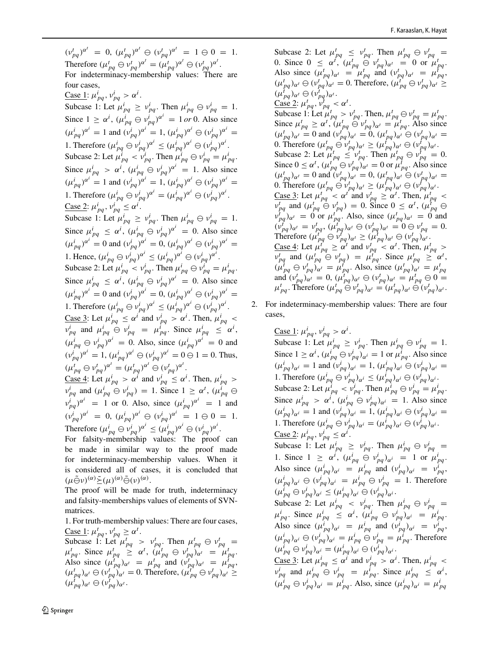$(v_{pq}^t)^{\alpha^t} = 0$ ,  $(\mu_{pq}^t)^{\alpha^t} \oplus (v_{pq}^t)^{\alpha^t} = 1 \oplus 0 = 1$ . Therefore  $(\mu_{pq}^t \ominus \nu_{pq}^t)^{\alpha^t} = (\mu_{pq}^t)^{\alpha^t} \ominus (\nu_{pq}^t)^{\alpha^t}$ . For indeterminacy-membership values: There are four cases,  $\frac{\text{Case 1: } \mu_{pq}^i}{\mu_{pq}^j} > \alpha^i$ . Subcase 1: Let  $\mu_{pq}^i \geq \nu_{pq}^i$ . Then  $\mu_{pq}^i \ominus \nu_{pq}^i = 1$ . Since  $1 \ge \alpha^i$ ,  $(\mu_{pq}^i \oplus \nu_{pq}^i)^{\alpha^i} = 1$  *or* 0. Also since  $(\mu_{pq}^i)^{\alpha^i} = 1$  and  $(\nu_{pq}^i)^{\alpha^i} = 1$ ,  $(\mu_{pq}^i)^{\alpha^i} \oplus (\nu_{pq}^i)^{\alpha^i} = 1$ 1. Therefore  $(\mu_{pq}^i \oplus \nu_{pq}^i)^{\alpha^i} \leq (\mu_{pq}^i)^{\alpha^i} \oplus (\nu_{pq}^i)^{\alpha^i}$ . Subcase 2: Let  $\mu_{pq}^i < \nu_{pq}^i$ . Then  $\mu_{pq}^i \ominus \nu_{pq}^i = \mu_{pq}^i$ . Since  $\mu_{pq}^i > \alpha^i$ ,  $(\mu_{pq}^i \oplus \nu_{pq}^i)^{\alpha^i} = 1$ . Also since  $(\mu_{pq}^i)^{\alpha^i} = 1$  and  $(\nu_{pq}^i)^{\alpha^i} = 1$ ,  $(\mu_{pq}^i)^{\alpha^i} \oplus (\nu_{pq}^i)^{\alpha^i} = 1$ 1. Therefore  $(\mu_{pq}^i \ominus \nu_{pq}^i)^{\alpha^i} = (\mu_{pq}^i)^{\alpha^i} \ominus (\nu_{pq}^i)^{\alpha^i}$ .  $\frac{\text{Case 2: } \mu_{pq}^i, \nu_{pq}^i \leq \alpha^i.$ Subcase 1: Let  $\mu_{pq}^i \geq \nu_{pq}^i$ . Then  $\mu_{pq}^i \ominus \nu_{pq}^i = 1$ . Since  $\mu_{pq}^i \leq \alpha^i$ ,  $(\mu_{pq}^i \oplus \nu_{pq}^i)^{\alpha^i} = 0$ . Also since  $(\mu_{pq}^i)^{\alpha^i} = 0$  and  $(\nu_{pq}^i)^{\alpha^i} = 0$ ,  $(\mu_{pq}^i)^{\alpha^i} \oplus (\nu_{pq}^i)^{\alpha^i} = 0$ 1. Hence,  $(\mu_{pq}^i \oplus \nu_{pq}^i)^{\alpha^i} \leq (\mu_{pq}^i)^{\alpha^i} \oplus (\nu_{pq}^i)^{\alpha^i}$ . Subcase 2: Let  $\mu_{pq}^i < \nu_{pq}^i$ . Then  $\mu_{pq}^i \ominus \nu_{pq}^i = \mu_{pq}^i$ . Since  $\mu_{pq}^i \leq \alpha^i$ ,  $(\mu_{pq}^i \oplus \nu_{pq}^i)^{\alpha^i} = 0$ . Also since  $(\mu_{pq}^i)^{\alpha^i} = 0$  and  $(\nu_{pq}^i)^{\alpha^i} = 0$ ,  $(\mu_{pq}^i)^{\alpha^i} \oplus (\nu_{pq}^i)^{\alpha^i} = 0$ 1. Therefore  $(\mu_{pq}^i \oplus \nu_{pq}^i)^{\alpha^i} \leq (\mu_{pq}^i)^{\alpha^i} \oplus (\nu_{pq}^i)^{\alpha^i}$ . <u>Case 3</u>: Let  $\mu_{pq}^i \leq \alpha^i$  and  $\nu_{pq}^i > \alpha^i$ . Then,  $\mu_{pq}^i <$  $v_{pq}^i$  and  $\mu_{pq}^i \oplus v_{pq}^i = \mu_{pq}^i$ . Since  $\mu_{pq}^i \leq \alpha^i$ ,  $(\mu_{pq}^i \oplus \nu_{pq}^i)^{\alpha^i} = 0$ . Also, since  $(\mu_{pq}^i)^{\alpha^i} = 0$  and  $(v_{pq}^i)^{\alpha^i} = 1$ ,  $(\mu_{pq}^i)^{\alpha^i} \oplus (v_{pq}^i)^{\alpha^i} = 0 \oplus 1 = 0$ . Thus,  $(\mu_{pq}^t \oplus \nu_{pq}^t)^{\alpha^t} = (\mu_{pq}^t)^{\alpha^t} \oplus (\nu_{pq}^t)^{\alpha^t}.$  $\frac{\text{Case 4: Let } \mu_{pq}^i > \alpha^i \text{ and } \nu_{pq}^i \leq \alpha^i. \text{ Then, } \mu_{pq}^i > 0}$ 

 $v_{pq}^i$  and  $(\mu_{pq}^i \oplus v_{pq}^i) = 1$ . Since  $1 \ge \alpha^t$ ,  $(\mu_{pq}^i \oplus v_{pq}^i)$  $v_{pq}^i$   $\rho^{i}$  = 1 or 0. Also, since  $(\mu_{pq}^i)^{\alpha^i}$  = 1 and  $(v_{pq}^i)^{\alpha^i} = 0$ ,  $(\mu_{pq}^i)^{\alpha^i} \oplus (v_{pq}^i)^{\alpha^i} = 1 \oplus 0 = 1$ . Therefore  $(\mu_{pq}^i \oplus \nu_{pq}^i)^{\alpha^i} \leq (\mu_{pq}^i)^{\alpha^i} \oplus (\nu_{pq}^i)^{\alpha^i}$ .

For falsity-membership values: The proof can be made in similar way to the proof made for indeterminacy-membership values. When it is considered all of cases, it is concluded that  $(\mu \tilde{\ominus} \nu)^{(\alpha)} \tilde{\rightarrow} (\mu)^{(\alpha)} \tilde{\ominus} (\nu)^{(\alpha)}.$ 

The proof will be made for truth, indeterminacy and falsity-memberships values of elements of SVNmatrices.

1. For truth-membership values: There are four cases,  $\frac{\text{Case 1: } \mu_{pq}^t, \nu_{pq}^t \geq \alpha^t.$ 

Subcase 1: Let  $\mu_{pq}^t > \nu_{pq}^t$ . Then  $\mu_{pq}^t \oplus \nu_{pq}^t =$  $\mu_{pq}^t$ . Since  $\mu_{pq}^t \geq \alpha^t$ ,  $(\mu_{pq}^t \ominus \nu_{pq}^t)_{\alpha^t} = \mu_{pq}^t$ . Also since  $(\mu_{pq}^{t})_{\alpha^t} = \mu_{pq}^t$  and  $(\nu_{pq}^{t})_{\alpha^t} = \mu_{pq}^t$ ,  $(\mu_{pq}^t)_{\alpha^t} \ominus (\nu_{pq}^t)_{\alpha^t} = 0$ . Therefore,  $(\mu_{pq}^t \ominus \nu_{pq}^t)_{\alpha^t} \ge$  $(\mu_{pq}^t)_{\alpha^t} \ominus (\nu_{pq}^t)_{\alpha^t}.$ 

Subcase 2: Let  $\mu_{pq}^t \leq \nu_{pq}^t$ . Then  $\mu_{pq}^t \ominus \nu_{pq}^t =$ 0. Since  $0 \leq \alpha^t$ ,  $(\mu_{pq}^t \ominus \nu_{pq}^t)_{\alpha^t} = 0$  or  $\mu_{pq}^t$ . Also since  $(\mu_{pq}^t)_{\alpha^t} = \mu_{pq}^t$  and  $(\nu_{pq}^t)_{\alpha^t} = \mu_{pq}^t$ ,  $(\mu_{pq}^t)_{\alpha^t} \ominus (\nu_{pq}^t)_{\alpha^t} = 0$ . Therefore,  $(\mu_{pq}^t \ominus \nu_{pq}^t)_{\alpha^t} \ge$  $(\mu_{pq}^{\dagger})_{\alpha} \theta \in (\nu_{pq}^{\dagger})_{\alpha}$ .  $\frac{\text{Case 2: }}{\mu_{pq}^t, \nu_{pq}^t} < \alpha^t.$ Subcase 1: Let  $\mu_{pq}^t > \nu_{pq}^t$ . Then,  $\mu_{pq}^t \ominus \nu_{pq}^t = \mu_{pq}^t$ . Since  $\mu_{pq}^t \geq \alpha^t$ ,  $(\mu_{pq}^t \ominus \nu_{pq}^t)_{\alpha^t} = \mu_{pq}^t$ . Also since  $(\mu_{pq}^t)_{\alpha^t} = 0$  and  $(\nu_{pq}^t)_{\alpha^t} = 0$ ,  $(\mu_{pq}^t)_{\alpha^t} = 0$ ,  $(\nu_{pq}^t)_{\alpha^t} = 0$ 0. Therefore  $(\mu_{pq}^t \oplus \nu_{pq}^t)_{\alpha^t} \geq (\mu_{pq}^t)_{\alpha^t} \oplus (\nu_{pq}^t)_{\alpha^t}$ . Subcase 2: Let  $\mu_{pq}^t \le \nu_{pq}^t$ . Then  $\mu_{pq}^t \ominus \nu_{pq}^t = 0$ . Since  $0 \le \alpha^t$ ,  $(\mu_{pq}^t \ominus \nu_{pq}^t)_{\alpha^t} = 0$  or  $\mu_{pq}^t$ . Also since  $(\mu_{pq}^t)_{\alpha^t} = 0$  and  $(\nu_{pq}^t)_{\alpha^t} = 0$ ,  $(\mu_{pq}^t)_{\alpha^t} \ominus (\nu_{pq}^t)_{\alpha^t} = 0$ 0. Therefore  $(\mu_{pq}^t \ominus \nu_{pq}^t)_{\alpha^t} \geq (\mu_{pq}^t)_{\alpha^t} \ominus (\nu_{pq}^t)_{\alpha^t}$ . <u>Case 3</u>: Let  $\mu_{pq}^t \leq \alpha^{t^2}$  and  $\nu_{pq}^t \geq \alpha^t$ . Then,  $\mu_{pq}^t$  $v_{pq}^t$  and  $(\mu_{pq}^t \oplus v_{pq}^t) = 0$ . Since  $0 \le \alpha^t$ ,  $(\mu_{pq}^t \oplus v_{pq}^t)_{\alpha^t} = 0$  or  $\mu_{pq}^t$ . Also, since  $(\mu_{pq}^t)_{\alpha^t} = 0$  and  $(v_{pq}^t)_{\alpha^t} = v_{pq}^t$ ,  $(\mu_{pq}^t)_{\alpha^t} \ominus (v_{pq}^t)_{\alpha^t} = 0 \ominus v_{pq}^t = 0.$ Therefore  $(\mu_{pq}^{t^1} \ominus \nu_{pq}^{t^1})_{\alpha^t} \geq (\mu_{pq}^{t^1})_{\alpha^t} \ominus (\nu_{pq}^{t^1})_{\alpha^t}$ . <u>Case 4</u>: Let  $\mu_{pq}^t \ge \alpha^t$  and  $\nu_{pq}^t < \alpha^t$ . Then,  $\mu_{pq}^t >$  $v_{pq}^t$  and  $(\mu_{pq}^t \ominus v_{pq}^t) = \mu_{pq}^t$ . Since  $\mu_{pq}^t \geq \alpha^t$ ,  $(\mu_{pq}^t \oplus \nu_{pq}^t)_{\alpha^t} = \mu_{pq}^t$ . Also, since  $(\mu_{pq}^t)_{\alpha^t} = \mu_{pq}^t$ and  $(v_{pq}^t)_{\alpha^t} = 0$ ,  $(\mu_{pq}^t)_{\alpha^t} \ominus (v_{pq}^t)_{\alpha^t} = \mu_{pq}^t \ominus 0 =$  $\mu_{pq}^t$ . Therefore  $(\mu_{pq}^t \overset{\leftrightarrow}{\Theta} v_{pq}^t)_{\alpha^t} = (\mu_{pq}^t)_{\alpha^t} \overset{\leftrightarrow}{\Theta} (v_{pq}^t)_{\alpha^t}$ .

2. For indeterminacy-membership values: There are four cases,

> $\frac{\text{Case 1: } \mu_{pq}^i}{\mu_{pq}^j} \times \alpha^i$ . Subcase 1: Let  $\mu_{pq}^i \geq \nu_{pq}^i$ . Then  $\mu_{pq}^i \ominus \nu_{pq}^i = 1$ . Since  $1 \ge \alpha^i$ ,  $(\mu_{pq}^i \ominus \nu_{pq}^i)_{\alpha^i} = 1$  or  $\mu_{pq}^i$ . Also since  $(\mu_{pq}^i)_{\alpha^i} = 1$  and  $(\nu_{pq}^i)_{\alpha^i} = 1$ ,  $(\mu_{pq}^i)_{\alpha^i} \ominus (\nu_{pq}^i)_{\alpha^i} =$ 1. Therefore  $(\mu_{pq}^i \ominus \nu_{pq}^i)_{\alpha^i} \leq (\mu_{pq}^i)_{\alpha^i} \ominus (\nu_{pq}^i)_{\alpha^i}$ . Subcase 2: Let  $\mu_{pq}^i < \nu_{pq}^i$ . Then  $\mu_{pq}^i \ominus \nu_{pq}^i = \mu_{pq}^i$ . Since  $\mu_{pq}^i > \alpha^i$ ,  $(\mu_{pq}^i \oplus \nu_{pq}^i)_{\alpha^i} = 1$ . Also since  $(\mu_{pq}^i)_{\alpha^i} = 1$  and  $(\nu_{pq}^i)_{\alpha^i} = 1$ ,  $(\mu_{pq}^i)_{\alpha^i} \oplus (\nu_{pq}^i)_{\alpha^i} =$ 1. Therefore  $(\mu_{pq}^i \oplus \nu_{pq}^i)_{\alpha^i} = (\mu_{pq}^i)_{\alpha^i} \oplus (\nu_{pq}^i)_{\alpha^i}$ .  $\frac{\text{Case 2: } \mu_{pq}^i, \nu_{pq}^i \leq \alpha^i.$ Subcase 1: Let  $\mu_{pq}^i \geq \nu_{pq}^i$ . Then  $\mu_{pq}^i \ominus \nu_{pq}^i =$ 1. Since  $1 \ge \alpha^i$ ,  $(\mu_{pq}^i \oplus \nu_{pq}^i)_{\alpha^i} = 1$  or  $\mu_{pq}^i$ . Also since  $(\mu_{pq}^i)_{\alpha^i} = \mu_{pq}^i$  and  $(\nu_{pq}^i)_{\alpha^i} = \nu_{pq}^i$ ,  $(\mu_{pq}^i)_{\alpha^i} \oplus (\nu_{pq}^i)_{\alpha^i} = \mu_{pq}^i \oplus \nu_{pq}^i = 1$ . Therefore  $(\mu_{pq}^i \ominus \nu_{pq}^i)_{\alpha^i} \leq (\mu_{pq}^i)_{\alpha^i} \ominus (\nu_{pq}^i)_{\alpha^i}.$ Subcase 2: Let  $\mu_{pq}^i \leq \nu_{pq}^i$ . Then  $\mu_{pq}^i \oplus \nu_{pq}^i =$  $\mu_{pq}^i$ . Since  $\mu_{pq}^i \leq \alpha^i$ ,  $(\mu_{pq}^i \oplus \nu_{pq}^i)_{\alpha^i} = \mu_{pq}^i$ . Also since  $(\mu_{pq}^i)_{\alpha^i} = \mu_{pq}^i$  and  $(\nu_{pq}^i)_{\alpha^i} = \nu_{pq}^i$ ,  $(\mu_{pq}^i)_{\alpha^i} \ominus (\nu_{pq}^i)_{\alpha^i} = \mu_{pq}^i \ominus \nu_{pq}^i = \mu_{pq}^i$ . Therefore  $(\mu_{pq}^i \ominus \nu_{pq}^i)_{\alpha^i} = (\mu_{pq}^i)_{\alpha^i} \ominus (\nu_{pq}^i)_{\alpha^i}.$ <u>Case 3</u>: Let  $\mu_{pq}^i \leq \alpha^i$  and  $\nu_{pq}^i > \alpha^i$ . Then,  $\mu_{pq}^i <$  $v_{pq}^i$  and  $\mu_{pq}^i \oplus v_{pq}^i = \mu_{pq}^i$ . Since  $\mu_{pq}^i \leq \alpha^i$ ,  $(\mu_{pq}^i \oplus \nu_{pq}^i)_{\alpha^i} = \mu_{pq}^i$ . Also, since  $(\mu_{pq}^i)_{\alpha^i} = \mu_{pq}^i$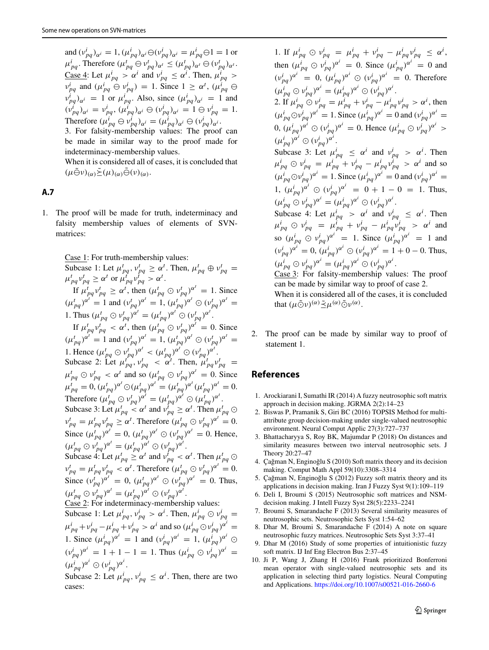and  $(v_{pq}^i)_{\alpha^i} = 1$ ,  $(\mu_{pq}^i)_{\alpha^i} \ominus (v_{pq}^i)_{\alpha^i} = \mu_{pq}^i \ominus 1 = 1$  or  $\mu_{pq}^i$ . Therefore  $(\mu_{pq}^t \ominus \nu_{pq}^t)_{\alpha^t} \leq (\mu_{pq}^t)_{\alpha^t} \ominus (\nu_{pq}^t)_{\alpha^t}$ .  $\frac{\text{Case 4: Let } \mu_{pq}^i > \alpha^i \text{ and } \nu_{pq}^i \leq \alpha^i. \text{ Then, } \mu_{pq}^i > 0}$  $v_{pq}^i$  and  $(\mu_{pq}^i \oplus v_{pq}^i) = 1$ . Since  $1 \ge \alpha^t$ ,  $(\mu_{pq}^i \oplus v_{pq}^i)$  $v_{pq}^i$  *ai* = 1 or  $\mu_{pq}^i$ . Also, since  $(\mu_{pq}^i)_{\alpha^i} = 1$  and  $(v_{pq}^i)_{\alpha^i} = v_{pq}^i$ ,  $(\mu_{pq}^i)_{\alpha^i} \oplus (v_{pq}^i)_{\alpha^i} = 1 \oplus v_{pq}^i = 1$ . Therefore  $(\mu_{pq}^i \ominus \nu_{pq}^i)_{\alpha^i} = (\mu_{pq}^i)_{\alpha^i} \ominus (\nu_{pq}^i)_{\alpha^i}$ .

3. For falsity-membership values: The proof can be made in similar way to the proof made for indeterminacy-membership values.

When it is considered all of cases, it is concluded that  $(\mu \tilde{\ominus} \nu)_{(\alpha)} \tilde{\geq} (\mu)_{(\alpha)} \tilde{\ominus} (\nu)_{(\alpha)}.$ 

### <span id="page-18-8"></span>**A.7**

1. The proof will be made for truth, indeterminacy and falsity membership values of elements of SVNmatrices:

Case 1: For truth-membership values:

Subcase 1: Let  $\mu_{pq}^t$ ,  $\nu_{pq}^t \ge \alpha^t$ . Then,  $\mu_{pq}^t \oplus \nu_{pq}^t =$ <br> $\mu_{pq}^t \nu_{pq}^t \ge \alpha^t$  or  $\mu_{pq}^t \nu_{pq}^t > \alpha^t$ . If  $\mu_{pq}^t v_{pq}^t \ge \alpha^t$ , then  $(\mu_{pq}^t \odot v_{pq}^t)^{\alpha^t} = 1$ . Since  $(\mu_{pq}^t)^{\alpha^t} = 1$  and  $(\nu_{pq}^t)^{\alpha^t} = 1$ ,  $(\mu_{pq}^t)^{\alpha^t} \odot (\nu_{pq}^t)^{\alpha^t} = 1$ 1. Thus  $(\mu_{pq}^t \odot \nu_{pq}^t)^{\alpha^t} = (\mu_{pq}^t)^{\alpha^t} \odot (\nu_{pq}^t)^{\alpha^t}.$ If  $\mu_{pq}^t v_{pq}^t < \alpha^t$ , then  $(\mu_{pq}^t \odot v_{pq}^t)^{\alpha^t} = 0$ . Since  $(\mu_{pq}^t)^{\alpha^t} = 1$  and  $(\nu_{pq}^t)^{\alpha^t} = 1$ ,  $(\mu_{pq}^t)^{\alpha^t} \odot (\nu_{pq}^t)^{\alpha^t} = 1$ 1. Hence  $(\mu_{pq}^t \odot \nu_{pq}^t)^{\alpha^t} < (\mu_{pq}^t)^{\alpha^t} \odot (\nu_{pq}^t)^{\alpha^t}$ . Subcase 2: Let  $\mu_{pq}^{t}$ ,  $v_{pq}^t$  <  $\alpha^t$ . Then,  $\mu_{pq}^t v_{pq}^t$  =  $\mu_{pq}^t \odot \nu_{pq}^t < \alpha^t$  and so  $(\mu_{pq}^t \odot \nu_{pq}^t)^{\alpha^t} = 0$ . Since  $\mu_{pq}^t = 0$ ,  $(\mu_{pq}^t)^{\alpha^t} \odot (\mu_{pq}^t)^{\alpha^t} = (\mu_{pq}^t)^{\alpha^t} (\mu_{pq}^t)^{\alpha^t} = 0$ . Therefore  $(\mu_{pq}^t \odot \nu_{pq}^t)^{\alpha^t} = (\mu_{pq}^t)^{\alpha^t} \odot (\mu_{pq}^t)^{\alpha^t}$ . Subcase 3: Let  $\mu_{pq}^t \leq \alpha^t$  and  $\nu_{pq}^{t^t} \geq \alpha^t$ . Then  $\mu_{pq}^t \odot$  $v_{pq}^t = \mu_{pq}^t v_{pq}^t \ge \alpha^t$ . Therefore  $(\mu_{pq}^t \odot v_{pq}^t)^{\alpha^t} = 0$ . Since  $(\mu_{pq}^t)^{\alpha^t} = 0$ ,  $(\mu_{pq}^t)^{\alpha^t} \odot (\nu_{pq}^t)^{\alpha^t} = 0$ . Hence,  $(\mu_{pq}^t \odot \nu_{pq}^t)^{\alpha^t} = (\mu_{pq}^t)^{\alpha^t} \odot (\nu_{pq}^t)^{\alpha^t}.$ Subcase 4: Let  $\mu_{pq}^t \geq \alpha^t$  and  $\nu_{pq}^{t-1} < \alpha^t$ . Then  $\mu_{pq}^t \odot$  $v_{pq}^t = \mu_{pq}^t v_{pq}^t < \alpha^t$ . Therefore  $(\mu_{pq}^t \odot v_{pq}^t)^{\alpha^t} = 0$ . Since  $(v_{pq}^t)^{\alpha^t} = 0$ ,  $(\mu_{pq}^t)^{\alpha^t} \odot (v_{pq}^t)^{\alpha^t} = 0$ . Thus,  $(\mu_{pq}^t \odot \nu_{pq}^t)^{\alpha^t} = (\mu_{pq}^t)^{\alpha^t} \odot (\nu_{pq}^t)^{\alpha^t}.$ Case 2: For indeterminacy-membership values: Subcase 1: Let  $\mu_{pq}^i$ ,  $\nu_{pq}^i > \alpha^i$ . Then,  $\mu_{pq}^i \odot \nu_{pq}^i =$  $\mu_{pq}^i + \nu_{pq}^i - \mu_{pq}^i + \nu_{pq}^i > \alpha^i$  and so  $(\mu_{pq}^i \odot \nu_{pq}^i)^{\alpha^i}$ = 1. Since  $(\mu_{pq}^i)^{\alpha^i} = 1$  and  $(\nu_{pq}^i)^{\alpha^i} = 1$ ,  $(\mu_{pq}^i)^{\alpha^i} \odot$ 

 $(v_{pq}^i)^{\alpha^i} = 1 + 1 - 1 = 1$ . Thus  $(u_{pq}^i \odot v_{pq}^i)^{\alpha^i} =$  $(\mu_{pq}^i)^{\alpha^i} \odot (\nu_{pq}^i)^{\alpha^i}.$ 

Subcase 2: Let  $\mu_{pq}^i$ ,  $\nu_{pq}^i \leq \alpha^i$ . Then, there are two cases:

1. If  $\mu_{pq}^i \oplus \nu_{pq}^i = \mu_{pq}^i + \nu_{pq}^i - \mu_{pq}^i \nu_{pq}^i \leq \alpha^i$ , then  $(\mu_{pq}^i \oplus \nu_{pq}^i)^{\alpha^i} = 0$ . Since  $(\mu_{pq}^i)^{\alpha^i} = 0$  and  $(v_{pq}^i)^{\alpha^i} = 0$ ,  $(\mu_{pq}^i)^{\alpha^i} \odot (v_{pq}^i)^{\alpha^i} = 0$ . Therefore  $(\mu_{pq}^i \odot \nu_{pq}^i)^{\alpha^i} = (\mu_{pq}^i)^{\alpha^i} \odot (\nu_{pq}^i)^{\alpha^i}.$ 2. If  $\mu_{pq}^i \odot \nu_{pq}^i = \mu_{pq}^i + \nu_{pq}^i - \mu_{pq}^i \nu_{pq}^i > \alpha^i$ , then  $(\mu_{pq}^i \odot \nu_{pq}^i)^{\alpha^i} = 1$ . Since  $(\mu_{pq}^i)^{\alpha^i} = 0$  and  $(\nu_{pq}^i)^{\alpha^i} = 0$  $(0, (\mu_{pq}^i)^{\alpha^i} \odot (\nu_{pq}^i)^{\alpha^i} = 0.$  Hence  $(\mu_{pq}^i \odot \nu_{pq}^i)^{\alpha^i} > 0$  $(\mu_{pq}^i)^{\alpha^i} \odot (\nu_{pq}^i)^{\alpha^i}.$ Subcase 3: Let  $\mu_{pq}^i \leq \alpha^i$  and  $\nu_{pq}^i > \alpha^i$ . Then  $\mu_{pq}^{i} \odot \nu_{pq}^{i} = \mu_{pq}^{i} + \nu_{pq}^{i} - \mu_{pq}^{i} \nu_{pq}^{i} > \alpha^{i}$  and so  $(\mu_{pq}^i \odot \nu_{pq}^i)^{\alpha^i} = 1$ . Since  $(\mu_{pq}^i)^{\alpha^i} = 0$  and  $(\nu_{pq}^i)^{\alpha^i} = 0$ 1,  $(\mu_{pq}^i)^{\alpha^i} \odot (\nu_{pq}^i)^{\alpha^i} = 0 + 1 - 0 = 1$ . Thus,  $(\mu_{pq}^i \odot \nu_{pq}^i)^{\alpha^i} = (\mu_{pq}^i)^{\alpha^i} \odot (\nu_{pq}^i)^{\alpha^i}.$ Subcase 4: Let  $\mu_{pq}^i > \alpha^i$  and  $\nu_{pq}^i \leq \alpha^i$ . Then  $\mu_{pq}^i \odot \nu_{pq}^i = \mu_{pq}^i + \nu_{pq}^i - \mu_{pq}^i \nu_{pq}^i > \alpha^i$  and so  $(\mu_{pq}^i \odot \nu_{pq}^i)^{\alpha^i} = 1$ . Since  $(\mu_{pq}^i)^{\alpha^i} = 1$  and  $(v_{pq}^i)^{\alpha^i} = 0$ ,  $(\mu_{pq}^i)^{\alpha^i} \odot (v_{pq}^i)^{\alpha^i} = 1 + 0 - 0$ . Thus,  $(\mu_{pq}^i \odot \nu_{pq}^i)^{\alpha^i} = (\mu_{pq}^i)^{\alpha^i} \odot (\nu_{pq}^i)^{\alpha^i}.$ Case 3: For falsity-membership values: The proof can be made by similar way to proof of case 2.

When it is considered all of the cases, it is concluded that  $(\mu \tilde{\odot} \nu)^{(\alpha)} \tilde{\preceq} \mu^{(\alpha)} \tilde{\odot} \nu^{(\alpha)}$ .

2. The proof can be made by similar way to proof of statement 1.

# **References**

- <span id="page-18-4"></span>1. Arockiarani I, Sumathi IR (2014) A fuzzy neutrosophic soft matrix approach in decision making. JGRMA 2(2):14–23
- <span id="page-18-7"></span>2. Biswas P, Pramanik S, Giri BC (2016) TOPSIS Method for multiattribute group decision-making under single-valued neutrosophic environment. Neural Comput Applic 27(3):727–737
- <span id="page-18-10"></span>3. Bhattacharyya S, Roy BK, Majumdar P (2018) On distances and similarity measures between two interval neutrosophic sets. J Theory 20:27–47
- <span id="page-18-0"></span>4. Çağman N, Enginoğlu S (2010) Soft matrix theory and its decision making. Comput Math Appl 59(10):3308–3314
- <span id="page-18-1"></span>Cağman N, Enginoğlu S (2012) Fuzzy soft matrix theory and its applications in decision making. Iran J Fuzzy Syst 9(1):109–119
- <span id="page-18-5"></span>6. Deli I, Broumi S (2015) Neutrosophic soft matrices and NSMdecision making. J Intell Fuzzy Syst 28(5):2233–2241
- <span id="page-18-9"></span>7. Broumi S, Smarandache F (2013) Several similarity measures of neutrosophic sets. Neutrosophic Sets Syst 1:54–62
- <span id="page-18-3"></span>8. Dhar M, Broumi S, Smarandache F (2014) A note on square neutrosophic fuzzy matrices. Neutrosophic Sets Syst 3:37–41
- <span id="page-18-2"></span>9. Dhar M (2016) Study of some properties of intuitionistic fuzzy soft matrix. IJ Inf Eng Electron Bus 2:37–45
- <span id="page-18-6"></span>10. Ji P, Wang J, Zhang H (2016) Frank prioritized Bonferroni mean operator with single-valued neutrosophic sets and its application in selecting third party logistics. Neural Computing and Applications. <https://doi.org/10.1007/s00521-016-2660-6>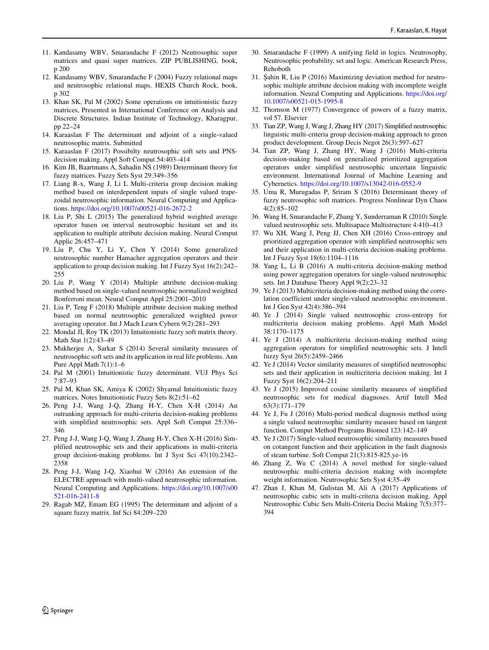- <span id="page-19-11"></span>11. Kandasamy WBV, Smarandache F (2012) Neutrosophic super matrices and quasi super matrices. ZIP PUBLISHING, book, p 200
- <span id="page-19-10"></span>12. Kandasamy WBV, Smarandache F (2004) Fuzzy relational maps and neutrosophic relational maps. HEXIS Church Rock, book, p 302
- <span id="page-19-7"></span>13. Khan SK, Pal M (2002) Some operations on intuitionistic fuzzy matrices, Presented in International Conference on Analysis and Discrete Structures. Indian Institute of Technology, Kharagpur, pp 22–24
- <span id="page-19-12"></span>14. Karaaslan F The determinant and adjoint of a single-valued neutrosophic matrix. Submitted
- <span id="page-19-32"></span>15. Karaaslan F (2017) Possibilty neutrosophic soft sets and PNSdecision making. Appl Soft Comput 54:403–414
- <span id="page-19-4"></span>16. Kim JB, Baartmans A, Sahadin NS (1989) Determinant theory for fuzzy matrices. Fuzzy Sets Syst 29:349–356
- <span id="page-19-26"></span>17. Liang R-x, Wang J, Li L Multi-criteria group decision making method based on interdependent inputs of single valued trapezoidal neutrosophic information. Neural Computing and Applications. <https://doi.org/10.1007/s00521-016-2672-2>
- <span id="page-19-18"></span>18. Liu P, Shi L (2015) The generalized hybrid weighted average operator basen on interval neutrosophic hesitant set and its application to multiple attribute decision making. Neural Comput Applic 26:457–471
- <span id="page-19-17"></span>19. Liu P, Chu Y, Li Y, Chen Y (2014) Some generalized neutrosophic number Hamacher aggregation operators and their application to group decision making. Int J Fuzzy Syst 16(2):242– 255
- <span id="page-19-19"></span>20. Liu P, Wang Y (2014) Multiple attribute decision-making method based on single-valued neutrosophic normalized weighted Bonferroni mean. Neural Comput Appl 25:2001–2010
- <span id="page-19-20"></span>21. Liu P, Teng F (2018) Multiple attribute decision making method based on normal neutrosophic generalized weighted power averaging operator. Int J Mach Learn Cybern 9(2):281–293
- <span id="page-19-9"></span>22. Mondal JI, Roy TK (2013) Intuitionistic fuzzy soft matrix theory. Math Stat 1(2):43–49
- <span id="page-19-0"></span>23. Mukherjee A, Sarkar S (2014) Several similarity measures of neutrosophic soft sets and its application in real life problems. Ann Pure Appl Math 7(1):1–6
- <span id="page-19-1"></span>24. Pal M (2001) Intuitionistic fuzzy determinant. VUJ Phys Sci 7:87–93
- <span id="page-19-8"></span>25. Pal M, Khan SK, Amiya K (2002) Shyamal Intuitionistic fuzzy matrices. Notes Intuitionistic Fuzzy Sets 8(2):51–62
- <span id="page-19-16"></span>26. Peng J-J, Wang J-Q, Zhang H-Y, Chen X-H (2014) An outranking approach for multi-criteria decision-making problems with simplified neutrosophic sets. Appl Soft Comput 25:336– 346
- <span id="page-19-3"></span>27. Peng J-J, Wang J-Q, Wang J, Zhang H-Y, Chen X-H (2016) Simplified neutrosophic sets and their applications in multi-criteria group decision-making problems. Int J Syst Sci 47(10):2342– 2358
- <span id="page-19-25"></span>28. Peng J-J, Wang J-Q, Xiaohui W (2016) An extension of the ELECTRE approach with multi-valued neutrosophic information. Neural Computing and Applications. [https://doi.org/10.1007/s00](https://doi.org/10.1007/s00521-016-2411-8) [521-016-2411-8](https://doi.org/10.1007/s00521-016-2411-8)
- <span id="page-19-5"></span>29. Ragab MZ, Emam EG (1995) The determinant and adjoint of a square fuzzy matrix. Inf Sci 84:209–220
- <span id="page-19-30"></span>30. Smarandache F (1999) A unifying field in logics. Neutrosophy, Neutrosophic probability, set and logic. American Research Press, Rehoboth
- <span id="page-19-27"></span>31. Şahin R, Liu P (2016) Maximizing deviation method for neutrosophic multiple attribute decision making with incomplete weight information. Neural Computing and Applications. [https://doi.org/](https://doi.org/10.1007/s00521-015-1995-8) [10.1007/s00521-015-1995-8](https://doi.org/10.1007/s00521-015-1995-8)
- <span id="page-19-6"></span>32. Thomson M (1977) Convergence of powers of a fuzzy matrix, vol 57. Elsevier
- <span id="page-19-23"></span>33. Tian ZP, Wang J, Wang J, Zhang HY (2017) Simplified neutrosophic linguistic multi-criteria group decision-making approach to green product development. Group Decis Negot 26(3):597–627
- <span id="page-19-22"></span>34. Tian ZP, Wang J, Zhang HY, Wang J (2016) Multi-criteria decision-making based on generalized prioritized aggregation operators under simplified neutrosophic uncertain linguistic environment. International Journal of Machine Learning and Cybernetics. <https://doi.org/10.1007/s13042-016-0552-9>
- <span id="page-19-13"></span>35. Uma R, Murugadas P, Sriram S (2016) Determinant theory of fuzzy neutrosophic soft matrices. Progress Nonlinear Dyn Chaos  $4(2):85-102$
- <span id="page-19-31"></span>36. Wang H, Smarandache F, Zhang Y, Sunderraman R (2010) Single valued neutrosophic sets. Multisapace Multistructure 4:410–413
- <span id="page-19-24"></span>37. Wu XH, Wang J, Peng JJ, Chen XH (2016) Cross-entropy and prioritized aggregation operator with simplified neutrosophic sets and their application in multi-criteria decision-making problems. Int J Fuzzy Syst 18(6):1104–1116
- <span id="page-19-28"></span>38. Yang L, Li B (2016) A multi-criteria decision-making method using power aggregation operators for single-valued neutrosophic sets. Int J Database Theory Appl 9(2):23–32
- <span id="page-19-14"></span>39. Ye J (2013) Multicriteria decision-making method using the correlation coefficient under single-valued neutrosophic environment. Int J Gen Syst 42(4):386–394
- <span id="page-19-15"></span>40. Ye J (2014) Single valued neutrosophic cross-entropy for multicriteria decision making problems. Appl Math Model 38:1170–1175
- <span id="page-19-2"></span>41. Ye J (2014) A multicriteria decision-making method using aggregation operators for simplified neutrosophic sets. J Intell fuzzy Syst 26(5):2459–2466
- <span id="page-19-33"></span>42. Ye J (2014) Vector similarity measures of simplified neutrosophic sets and their application in multicriteria decision making. Int J Fuzzy Syst 16(2):204–211
- <span id="page-19-34"></span>43. Ye J (2015) Improved cosine similarity measures of simplified neutrosophic sets for medical diagnoses. Artif Intell Med 63(3):171–179
- <span id="page-19-36"></span>44. Ye J, Fu J (2016) Multi-period medical diagnosis method using a single valued neutrosophic similarity measure based on tangent function. Comput Method Programs Biomed 123:142–149
- <span id="page-19-35"></span>45. Ye J (2017) Single-valued neutrosophic similarity measures based on cotangent function and their application in the fault diagnosis of steam turbine. Soft Comput 21(3):815-825.ye-16
- <span id="page-19-21"></span>46. Zhang Z, Wu C (2014) A novel method for single-valued neutrosophic multi-criteria decision making with incomplete weight information. Neutrosophic Sets Syst 4:35–49
- <span id="page-19-29"></span>47. Zhan J, Khan M, Gulistan M, Ali A (2017) Applications of neutrosophic cubic sets in multi-criteria decision making. Appl Neutrosophic Cubic Sets Multi-Criteria Decisi Making 7(5):377– 394